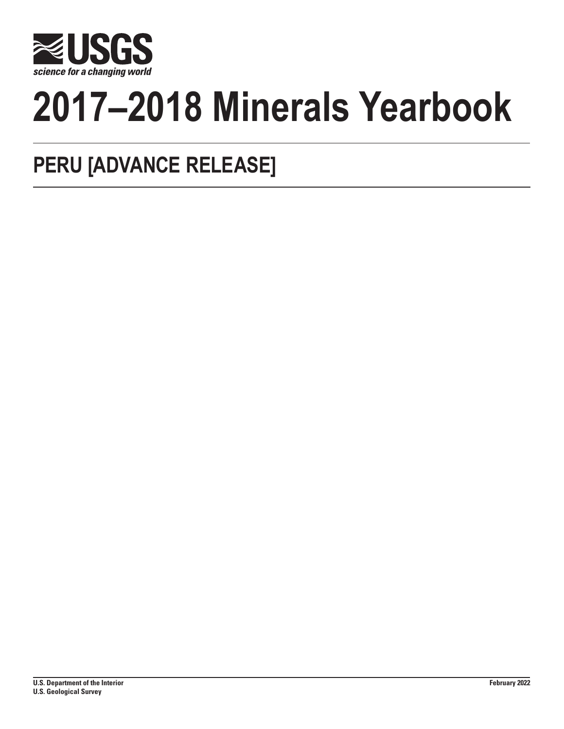

# **2017–2018 Minerals Yearbook**

# **PERU [ADVANCE RELEASE]**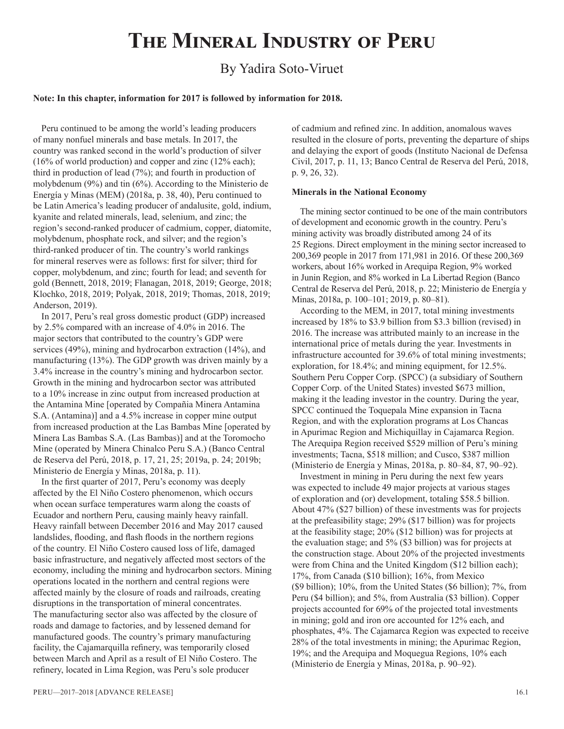# **The Mineral Industry of Peru**

# By Yadira Soto-Viruet

#### **Note: In this chapter, information for 2017 is followed by information for 2018.**

Peru continued to be among the world's leading producers of many nonfuel minerals and base metals. In 2017, the country was ranked second in the world's production of silver (16% of world production) and copper and zinc (12% each); third in production of lead (7%); and fourth in production of molybdenum (9%) and tin (6%). According to the Ministerio de Energía y Minas (MEM) (2018a, p. 38, 40), Peru continued to be Latin America's leading producer of andalusite, gold, indium, kyanite and related minerals, lead, selenium, and zinc; the region's second-ranked producer of cadmium, copper, diatomite, molybdenum, phosphate rock, and silver; and the region's third-ranked producer of tin. The country's world rankings for mineral reserves were as follows: first for silver; third for copper, molybdenum, and zinc; fourth for lead; and seventh for gold (Bennett, 2018, 2019; Flanagan, 2018, 2019; George, 2018; Klochko, 2018, 2019; Polyak, 2018, 2019; Thomas, 2018, 2019; Anderson, 2019).

In 2017, Peru's real gross domestic product (GDP) increased by 2.5% compared with an increase of 4.0% in 2016. The major sectors that contributed to the country's GDP were services (49%), mining and hydrocarbon extraction (14%), and manufacturing (13%). The GDP growth was driven mainly by a 3.4% increase in the country's mining and hydrocarbon sector. Growth in the mining and hydrocarbon sector was attributed to a 10% increase in zinc output from increased production at the Antamina Mine [operated by Compañia Minera Antamina S.A. (Antamina)] and a 4.5% increase in copper mine output from increased production at the Las Bambas Mine [operated by Minera Las Bambas S.A. (Las Bambas)] and at the Toromocho Mine (operated by Minera Chinalco Peru S.A.) (Banco Central de Reserva del Perú, 2018, p. 17, 21, 25; 2019a, p. 24; 2019b; Ministerio de Energía y Minas, 2018a, p. 11).

In the first quarter of 2017, Peru's economy was deeply affected by the El Niño Costero phenomenon, which occurs when ocean surface temperatures warm along the coasts of Ecuador and northern Peru, causing mainly heavy rainfall. Heavy rainfall between December 2016 and May 2017 caused landslides, flooding, and flash floods in the northern regions of the country. El Niño Costero caused loss of life, damaged basic infrastructure, and negatively affected most sectors of the economy, including the mining and hydrocarbon sectors. Mining operations located in the northern and central regions were affected mainly by the closure of roads and railroads, creating disruptions in the transportation of mineral concentrates. The manufacturing sector also was affected by the closure of roads and damage to factories, and by lessened demand for manufactured goods. The country's primary manufacturing facility, the Cajamarquilla refinery, was temporarily closed between March and April as a result of El Niño Costero. The refinery, located in Lima Region, was Peru's sole producer

of cadmium and refined zinc. In addition, anomalous waves resulted in the closure of ports, preventing the departure of ships and delaying the export of goods (Instituto Nacional de Defensa Civil, 2017, p. 11, 13; Banco Central de Reserva del Perú, 2018, p. 9, 26, 32).

#### **Minerals in the National Economy**

The mining sector continued to be one of the main contributors of development and economic growth in the country. Peru's mining activity was broadly distributed among 24 of its 25 Regions. Direct employment in the mining sector increased to 200,369 people in 2017 from 171,981 in 2016. Of these 200,369 workers, about 16% worked in Arequipa Region, 9% worked in Junin Region, and 8% worked in La Libertad Region (Banco Central de Reserva del Perú, 2018, p. 22; Ministerio de Energía y Minas, 2018a, p. 100–101; 2019, p. 80–81).

According to the MEM, in 2017, total mining investments increased by 18% to \$3.9 billion from \$3.3 billion (revised) in 2016. The increase was attributed mainly to an increase in the international price of metals during the year. Investments in infrastructure accounted for 39.6% of total mining investments; exploration, for 18.4%; and mining equipment, for 12.5%. Southern Peru Copper Corp. (SPCC) (a subsidiary of Southern Copper Corp. of the United States) invested \$673 million, making it the leading investor in the country. During the year, SPCC continued the Toquepala Mine expansion in Tacna Region, and with the exploration programs at Los Chancas in Apurimac Region and Michiquillay in Cajamarca Region. The Arequipa Region received \$529 million of Peru's mining investments; Tacna, \$518 million; and Cusco, \$387 million (Ministerio de Energía y Minas, 2018a, p. 80–84, 87, 90–92).

Investment in mining in Peru during the next few years was expected to include 49 major projects at various stages of exploration and (or) development, totaling \$58.5 billion. About 47% (\$27 billion) of these investments was for projects at the prefeasibility stage; 29% (\$17 billion) was for projects at the feasibility stage; 20% (\$12 billion) was for projects at the evaluation stage; and 5% (\$3 billion) was for projects at the construction stage. About 20% of the projected investments were from China and the United Kingdom (\$12 billion each); 17%, from Canada (\$10 billion); 16%, from Mexico (\$9 billion); 10%, from the United States (\$6 billion); 7%, from Peru (\$4 billion); and 5%, from Australia (\$3 billion). Copper projects accounted for 69% of the projected total investments in mining; gold and iron ore accounted for 12% each, and phosphates, 4%. The Cajamarca Region was expected to receive 28% of the total investments in mining; the Apurimac Region, 19%; and the Arequipa and Moquegua Regions, 10% each (Ministerio de Energía y Minas, 2018a, p. 90–92).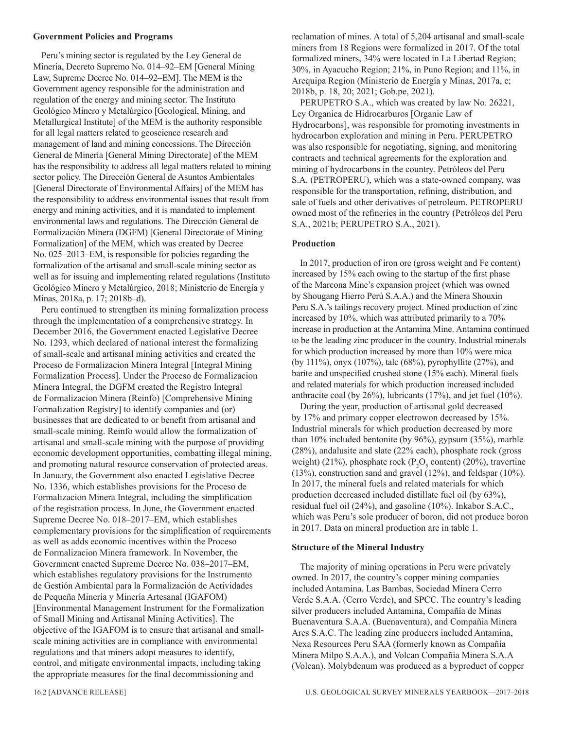#### **Government Policies and Programs**

Peru's mining sector is regulated by the Ley General de Mineria, Decreto Supremo No. 014–92–EM [General Mining Law, Supreme Decree No. 014–92–EM]. The MEM is the Government agency responsible for the administration and regulation of the energy and mining sector. The Instituto Geológico Minero y Metalúrgico [Geological, Mining, and Metallurgical Institute] of the MEM is the authority responsible for all legal matters related to geoscience research and management of land and mining concessions. The Dirección General de Minería [General Mining Directorate] of the MEM has the responsibility to address all legal matters related to mining sector policy. The Dirección General de Asuntos Ambientales [General Directorate of Environmental Affairs] of the MEM has the responsibility to address environmental issues that result from energy and mining activities, and it is mandated to implement environmental laws and regulations. The Dirección General de Formalización Minera (DGFM) [General Directorate of Mining Formalization] of the MEM, which was created by Decree No. 025–2013–EM, is responsible for policies regarding the formalization of the artisanal and small-scale mining sector as well as for issuing and implementing related regulations (Instituto Geológico Minero y Metalúrgico, 2018; Ministerio de Energía y Minas, 2018a, p. 17; 2018b–d).

Peru continued to strengthen its mining formalization process through the implementation of a comprehensive strategy. In December 2016, the Government enacted Legislative Decree No. 1293, which declared of national interest the formalizing of small-scale and artisanal mining activities and created the Proceso de Formalizacion Minera Integral [Integral Mining] Formalization Process]. Under the Proceso de Formalizacion Minera Integral, the DGFM created the Registro Integral de Formalizacion Minera (Reinfo) [Comprehensive Mining Formalization Registry] to identify companies and (or) businesses that are dedicated to or benefit from artisanal and small-scale mining. Reinfo would allow the formalization of artisanal and small-scale mining with the purpose of providing economic development opportunities, combatting illegal mining, and promoting natural resource conservation of protected areas. In January, the Government also enacted Legislative Decree No. 1336, which establishes provisions for the Proceso de Formalizacion Minera Integral, including the simplification of the registration process. In June, the Government enacted Supreme Decree No. 018–2017–EM, which establishes complementary provisions for the simplification of requirements as well as adds economic incentives within the Proceso de Formalizacion Minera framework. In November, the Government enacted Supreme Decree No. 038–2017–EM, which establishes regulatory provisions for the Instrumento de Gestión Ambiental para la Formalización de Actividades de Pequeña Minería y Minería Artesanal (IGAFOM) [Environmental Management Instrument for the Formalization of Small Mining and Artisanal Mining Activities]. The objective of the IGAFOM is to ensure that artisanal and smallscale mining activities are in compliance with environmental regulations and that miners adopt measures to identify, control, and mitigate environmental impacts, including taking the appropriate measures for the final decommissioning and

reclamation of mines. A total of 5,204 artisanal and small-scale miners from 18 Regions were formalized in 2017. Of the total formalized miners, 34% were located in La Libertad Region; 30%, in Ayacucho Region; 21%, in Puno Region; and 11%, in Arequipa Region (Ministerio de Energía y Minas, 2017a, c; 2018b, p. 18, 20; 2021; Gob.pe, 2021).

PERUPETRO S.A., which was created by law No. 26221, Ley Organica de Hidrocarburos [Organic Law of Hydrocarbons], was responsible for promoting investments in hydrocarbon exploration and mining in Peru. PERUPETRO was also responsible for negotiating, signing, and monitoring contracts and technical agreements for the exploration and mining of hydrocarbons in the country. Petróleos del Peru S.A. (PETROPERU), which was a state-owned company, was responsible for the transportation, refining, distribution, and sale of fuels and other derivatives of petroleum. PETROPERU owned most of the refineries in the country (Petróleos del Peru S.A., 2021b; PERUPETRO S.A., 2021).

# **Production**

In 2017, production of iron ore (gross weight and Fe content) increased by 15% each owing to the startup of the first phase of the Marcona Mine's expansion project (which was owned by Shougang Hierro Perú S.A.A.) and the Minera Shouxin Peru S.A.'s tailings recovery project. Mined production of zinc increased by 10%, which was attributed primarily to a 70% increase in production at the Antamina Mine. Antamina continued to be the leading zinc producer in the country. Industrial minerals for which production increased by more than 10% were mica (by 111%), onyx (107%), talc (68%), pyrophyllite (27%), and barite and unspecified crushed stone (15% each). Mineral fuels and related materials for which production increased included anthracite coal (by 26%), lubricants (17%), and jet fuel (10%).

During the year, production of artisanal gold decreased by 17% and primary copper electrowon decreased by 15%. Industrial minerals for which production decreased by more than 10% included bentonite (by 96%), gypsum (35%), marble (28%), andalusite and slate (22% each), phosphate rock (gross weight) (21%), phosphate rock ( $P_2O_5$  content) (20%), travertine (13%), construction sand and gravel (12%), and feldspar (10%). In 2017, the mineral fuels and related materials for which production decreased included distillate fuel oil (by 63%), residual fuel oil (24%), and gasoline (10%). Inkabor S.A.C., which was Peru's sole producer of boron, did not produce boron in 2017. Data on mineral production are in table 1.

#### **Structure of the Mineral Industry**

The majority of mining operations in Peru were privately owned. In 2017, the country's copper mining companies included Antamina, Las Bambas, Sociedad Minera Cerro Verde S.A.A. (Cerro Verde), and SPCC. The country's leading silver producers included Antamina, Compañía de Minas Buenaventura S.A.A. (Buenaventura), and Compañia Minera Ares S.A.C. The leading zinc producers included Antamina, Nexa Resources Peru SAA (formerly known as Compañía Minera Milpo S.A.A.), and Volcan Compañia Minera S.A.A (Volcan). Molybdenum was produced as a byproduct of copper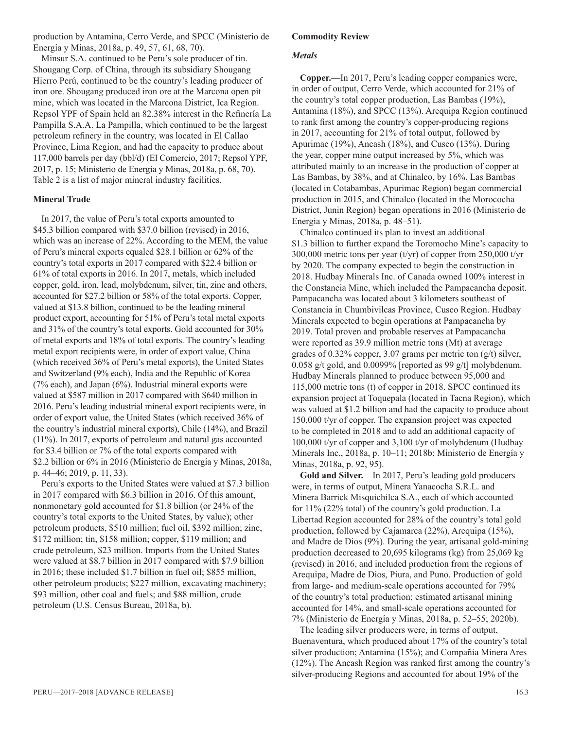production by Antamina, Cerro Verde, and SPCC (Ministerio de Energía y Minas, 2018a, p. 49, 57, 61, 68, 70).

Minsur S.A. continued to be Peru's sole producer of tin. Shougang Corp. of China, through its subsidiary Shougang Hierro Perú, continued to be the country's leading producer of iron ore. Shougang produced iron ore at the Marcona open pit mine, which was located in the Marcona District, Ica Region. Repsol YPF of Spain held an 82.38% interest in the Refinería La Pampilla S.A.A. La Pampilla, which continued to be the largest petroleum refinery in the country, was located in El Callao Province, Lima Region, and had the capacity to produce about 117,000 barrels per day (bbl/d) (El Comercio, 2017; Repsol YPF, 2017, p. 15; Ministerio de Energía y Minas, 2018a, p. 68, 70). Table 2 is a list of major mineral industry facilities.

# **Mineral Trade**

In 2017, the value of Peru's total exports amounted to \$45.3 billion compared with \$37.0 billion (revised) in 2016, which was an increase of 22%. According to the MEM, the value of Peru's mineral exports equaled \$28.1 billion or 62% of the country's total exports in 2017 compared with \$22.4 billion or 61% of total exports in 2016. In 2017, metals, which included copper, gold, iron, lead, molybdenum, silver, tin, zinc and others, accounted for \$27.2 billion or 58% of the total exports. Copper, valued at \$13.8 billion, continued to be the leading mineral product export, accounting for 51% of Peru's total metal exports and 31% of the country's total exports. Gold accounted for 30% of metal exports and 18% of total exports. The country's leading metal export recipients were, in order of export value, China (which received 36% of Peru's metal exports), the United States and Switzerland (9% each), India and the Republic of Korea (7% each), and Japan (6%). Industrial mineral exports were valued at \$587 million in 2017 compared with \$640 million in 2016. Peru's leading industrial mineral export recipients were, in order of export value, the United States (which received 36% of the country's industrial mineral exports), Chile (14%), and Brazil (11%). In 2017, exports of petroleum and natural gas accounted for \$3.4 billion or 7% of the total exports compared with \$2.2 billion or 6% in 2016 (Ministerio de Energía y Minas, 2018a, p. 44–46; 2019, p. 11, 33).

Peru's exports to the United States were valued at \$7.3 billion in 2017 compared with \$6.3 billion in 2016. Of this amount, nonmonetary gold accounted for \$1.8 billion (or 24% of the country's total exports to the United States, by value); other petroleum products, \$510 million; fuel oil, \$392 million; zinc, \$172 million; tin, \$158 million; copper, \$119 million; and crude petroleum, \$23 million. Imports from the United States were valued at \$8.7 billion in 2017 compared with \$7.9 billion in 2016; these included \$1.7 billion in fuel oil; \$855 million, other petroleum products; \$227 million, excavating machinery; \$93 million, other coal and fuels; and \$88 million, crude petroleum (U.S. Census Bureau, 2018a, b).

# **Commodity Review**

#### *Metals*

**Copper.**—In 2017, Peru's leading copper companies were, in order of output, Cerro Verde, which accounted for 21% of the country's total copper production, Las Bambas (19%), Antamina (18%), and SPCC (13%). Arequipa Region continued to rank first among the country's copper-producing regions in 2017, accounting for 21% of total output, followed by Apurimac (19%), Ancash (18%), and Cusco (13%). During the year, copper mine output increased by 5%, which was attributed mainly to an increase in the production of copper at Las Bambas, by 38%, and at Chinalco, by 16%. Las Bambas (located in Cotabambas, Apurimac Region) began commercial production in 2015, and Chinalco (located in the Morococha District, Junin Region) began operations in 2016 (Ministerio de Energía y Minas, 2018a, p. 48–51).

Chinalco continued its plan to invest an additional \$1.3 billion to further expand the Toromocho Mine's capacity to 300,000 metric tons per year (t/yr) of copper from 250,000 t/yr by 2020. The company expected to begin the construction in 2018. Hudbay Minerals Inc. of Canada owned 100% interest in the Constancia Mine, which included the Pampacancha deposit. Pampacancha was located about 3 kilometers southeast of Constancia in Chumbivilcas Province, Cusco Region. Hudbay Minerals expected to begin operations at Pampacancha by 2019. Total proven and probable reserves at Pampacancha were reported as 39.9 million metric tons (Mt) at average grades of 0.32% copper, 3.07 grams per metric ton (g/t) silver, 0.058 g/t gold, and 0.0099% [reported as 99 g/t] molybdenum. Hudbay Minerals planned to produce between 95,000 and 115,000 metric tons (t) of copper in 2018. SPCC continued its expansion project at Toquepala (located in Tacna Region), which was valued at \$1.2 billion and had the capacity to produce about 150,000 t/yr of copper. The expansion project was expected to be completed in 2018 and to add an additional capacity of 100,000 t/yr of copper and 3,100 t/yr of molybdenum (Hudbay Minerals Inc., 2018a, p. 10–11; 2018b; Ministerio de Energía y Minas, 2018a, p. 92, 95).

**Gold and Silver.**—In 2017, Peru's leading gold producers were, in terms of output, Minera Yanacocha S.R.L. and Minera Barrick Misquichilca S.A., each of which accounted for 11% (22% total) of the country's gold production. La Libertad Region accounted for 28% of the country's total gold production, followed by Cajamarca (22%), Arequipa (15%), and Madre de Dios (9%). During the year, artisanal gold-mining production decreased to 20,695 kilograms (kg) from 25,069 kg (revised) in 2016, and included production from the regions of Arequipa, Madre de Dios, Piura, and Puno. Production of gold from large- and medium-scale operations accounted for 79% of the country's total production; estimated artisanal mining accounted for 14%, and small-scale operations accounted for 7% (Ministerio de Energía y Minas, 2018a, p. 52–55; 2020b).

The leading silver producers were, in terms of output, Buenaventura, which produced about 17% of the country's total silver production; Antamina (15%); and Compañia Minera Ares (12%). The Ancash Region was ranked first among the country's silver-producing Regions and accounted for about 19% of the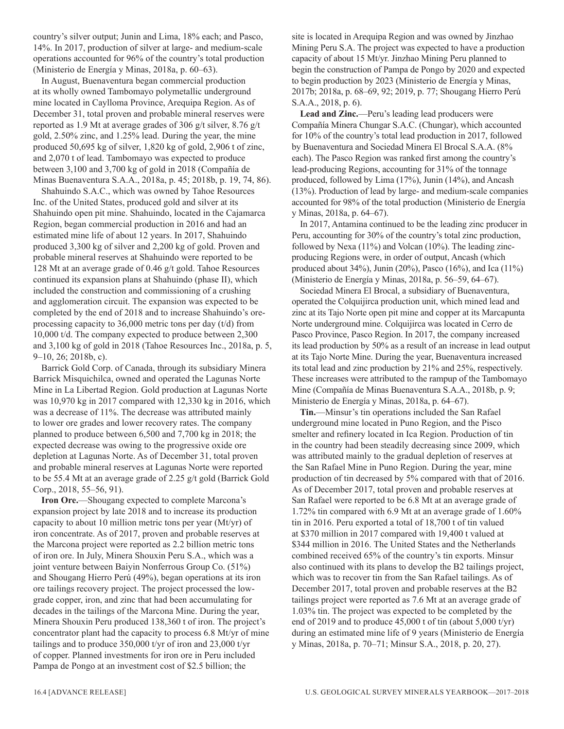country's silver output; Junin and Lima, 18% each; and Pasco, 14%. In 2017, production of silver at large- and medium-scale operations accounted for 96% of the country's total production (Ministerio de Energía y Minas, 2018a, p. 60–63).

In August, Buenaventura began commercial production at its wholly owned Tambomayo polymetallic underground mine located in Caylloma Province, Arequipa Region. As of December 31, total proven and probable mineral reserves were reported as 1.9 Mt at average grades of 306 g/t silver, 8.76 g/t gold, 2.50% zinc, and 1.25% lead. During the year, the mine produced 50,695 kg of silver, 1,820 kg of gold, 2,906 t of zinc, and 2,070 t of lead. Tambomayo was expected to produce between 3,100 and 3,700 kg of gold in 2018 (Compañía de Minas Buenaventura S.A.A., 2018a, p. 45; 2018b, p. 19, 74, 86).

Shahuindo S.A.C., which was owned by Tahoe Resources Inc. of the United States, produced gold and silver at its Shahuindo open pit mine. Shahuindo, located in the Cajamarca Region, began commercial production in 2016 and had an estimated mine life of about 12 years. In 2017, Shahuindo produced 3,300 kg of silver and 2,200 kg of gold. Proven and probable mineral reserves at Shahuindo were reported to be 128 Mt at an average grade of 0.46 g/t gold. Tahoe Resources continued its expansion plans at Shahuindo (phase II), which included the construction and commissioning of a crushing and agglomeration circuit. The expansion was expected to be completed by the end of 2018 and to increase Shahuindo's oreprocessing capacity to 36,000 metric tons per day (t/d) from 10,000 t/d. The company expected to produce between 2,300 and 3,100 kg of gold in 2018 (Tahoe Resources Inc., 2018a, p. 5, 9–10, 26; 2018b, c).

Barrick Gold Corp. of Canada, through its subsidiary Minera Barrick Misquichilca, owned and operated the Lagunas Norte Mine in La Libertad Region. Gold production at Lagunas Norte was 10,970 kg in 2017 compared with 12,330 kg in 2016, which was a decrease of 11%. The decrease was attributed mainly to lower ore grades and lower recovery rates. The company planned to produce between 6,500 and 7,700 kg in 2018; the expected decrease was owing to the progressive oxide ore depletion at Lagunas Norte. As of December 31, total proven and probable mineral reserves at Lagunas Norte were reported to be 55.4 Mt at an average grade of 2.25 g/t gold (Barrick Gold Corp., 2018, 55–56, 91).

**Iron Ore.**—Shougang expected to complete Marcona's expansion project by late 2018 and to increase its production capacity to about 10 million metric tons per year (Mt/yr) of iron concentrate. As of 2017, proven and probable reserves at the Marcona project were reported as 2.2 billion metric tons of iron ore. In July, Minera Shouxin Peru S.A., which was a joint venture between Baiyin Nonferrous Group Co. (51%) and Shougang Hierro Perú (49%), began operations at its iron ore tailings recovery project. The project processed the lowgrade copper, iron, and zinc that had been accumulating for decades in the tailings of the Marcona Mine. During the year, Minera Shouxin Peru produced 138,360 t of iron. The project's concentrator plant had the capacity to process 6.8 Mt/yr of mine tailings and to produce 350,000 t/yr of iron and 23,000 t/yr of copper. Planned investments for iron ore in Peru included Pampa de Pongo at an investment cost of \$2.5 billion; the

site is located in Arequipa Region and was owned by Jinzhao Mining Peru S.A. The project was expected to have a production capacity of about 15 Mt/yr. Jinzhao Mining Peru planned to begin the construction of Pampa de Pongo by 2020 and expected to begin production by 2023 (Ministerio de Energía y Minas, 2017b; 2018a, p. 68–69, 92; 2019, p. 77; Shougang Hierro Perú S.A.A., 2018, p. 6).

**Lead and Zinc.**—Peru's leading lead producers were Compañía Minera Chungar S.A.C. (Chungar), which accounted for 10% of the country's total lead production in 2017, followed by Buenaventura and Sociedad Minera El Brocal S.A.A. (8% each). The Pasco Region was ranked first among the country's lead-producing Regions, accounting for 31% of the tonnage produced, followed by Lima (17%), Junin (14%), and Ancash (13%). Production of lead by large- and medium-scale companies accounted for 98% of the total production (Ministerio de Energía y Minas, 2018a, p. 64–67).

In 2017, Antamina continued to be the leading zinc producer in Peru, accounting for 30% of the country's total zinc production, followed by Nexa (11%) and Volcan (10%). The leading zincproducing Regions were, in order of output, Ancash (which produced about 34%), Junin (20%), Pasco (16%), and Ica (11%) (Ministerio de Energía y Minas, 2018a, p. 56–59, 64–67).

Sociedad Minera El Brocal, a subsidiary of Buenaventura, operated the Colquijirca production unit, which mined lead and zinc at its Tajo Norte open pit mine and copper at its Marcapunta Norte underground mine. Colquijirca was located in Cerro de Pasco Province, Pasco Region. In 2017, the company increased its lead production by 50% as a result of an increase in lead output at its Tajo Norte Mine. During the year, Buenaventura increased its total lead and zinc production by 21% and 25%, respectively. These increases were attributed to the rampup of the Tambomayo Mine (Compañía de Minas Buenaventura S.A.A., 2018b, p. 9; Ministerio de Energía y Minas, 2018a, p. 64–67).

**Tin.**—Minsur's tin operations included the San Rafael underground mine located in Puno Region, and the Pisco smelter and refinery located in Ica Region. Production of tin in the country had been steadily decreasing since 2009, which was attributed mainly to the gradual depletion of reserves at the San Rafael Mine in Puno Region. During the year, mine production of tin decreased by 5% compared with that of 2016. As of December 2017, total proven and probable reserves at San Rafael were reported to be 6.8 Mt at an average grade of 1.72% tin compared with 6.9 Mt at an average grade of 1.60% tin in 2016. Peru exported a total of 18,700 t of tin valued at \$370 million in 2017 compared with 19,400 t valued at \$344 million in 2016. The United States and the Netherlands combined received 65% of the country's tin exports. Minsur also continued with its plans to develop the B2 tailings project, which was to recover tin from the San Rafael tailings. As of December 2017, total proven and probable reserves at the B2 tailings project were reported as 7.6 Mt at an average grade of 1.03% tin. The project was expected to be completed by the end of 2019 and to produce 45,000 t of tin (about 5,000 t/yr) during an estimated mine life of 9 years (Ministerio de Energía y Minas, 2018a, p. 70–71; Minsur S.A., 2018, p. 20, 27).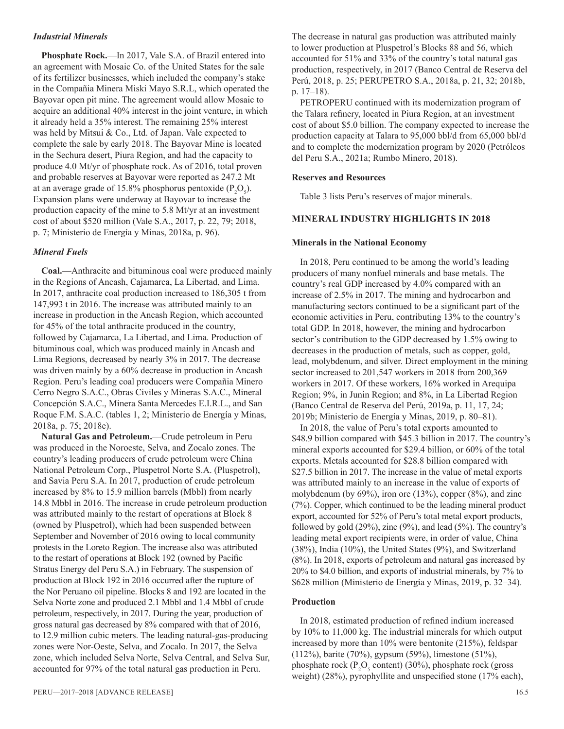#### *Industrial Minerals*

**Phosphate Rock.**—In 2017, Vale S.A. of Brazil entered into an agreement with Mosaic Co. of the United States for the sale of its fertilizer businesses, which included the company's stake in the Compañia Minera Miski Mayo S.R.L, which operated the Bayovar open pit mine. The agreement would allow Mosaic to acquire an additional 40% interest in the joint venture, in which it already held a 35% interest. The remaining 25% interest was held by Mitsui & Co., Ltd. of Japan. Vale expected to complete the sale by early 2018. The Bayovar Mine is located in the Sechura desert, Piura Region, and had the capacity to produce 4.0 Mt/yr of phosphate rock. As of 2016, total proven and probable reserves at Bayovar were reported as 247.2 Mt at an average grade of 15.8% phosphorus pentoxide  $(P_2O_5)$ . Expansion plans were underway at Bayovar to increase the production capacity of the mine to 5.8 Mt/yr at an investment cost of about \$520 million (Vale S.A., 2017, p. 22, 79; 2018, p. 7; Ministerio de Energía y Minas, 2018a, p. 96).

#### *Mineral Fuels*

**Coal.**—Anthracite and bituminous coal were produced mainly in the Regions of Ancash, Cajamarca, La Libertad, and Lima. In 2017, anthracite coal production increased to 186,305 t from 147,993 t in 2016. The increase was attributed mainly to an increase in production in the Ancash Region, which accounted for 45% of the total anthracite produced in the country, followed by Cajamarca, La Libertad, and Lima. Production of bituminous coal, which was produced mainly in Ancash and Lima Regions, decreased by nearly 3% in 2017. The decrease was driven mainly by a 60% decrease in production in Ancash Region. Peru's leading coal producers were Compañia Minero Cerro Negro S.A.C., Obras Civiles y Mineras S.A.C., Mineral Concepción S.A.C., Minera Santa Mercedes E.I.R.L., and San Roque F.M. S.A.C. (tables 1, 2; Ministerio de Energía y Minas, 2018a, p. 75; 2018e).

**Natural Gas and Petroleum.**—Crude petroleum in Peru was produced in the Noroeste, Selva, and Zocalo zones. The country's leading producers of crude petroleum were China National Petroleum Corp., Pluspetrol Norte S.A. (Pluspetrol), and Savia Peru S.A. In 2017, production of crude petroleum increased by 8% to 15.9 million barrels (Mbbl) from nearly 14.8 Mbbl in 2016. The increase in crude petroleum production was attributed mainly to the restart of operations at Block 8 (owned by Pluspetrol), which had been suspended between September and November of 2016 owing to local community protests in the Loreto Region. The increase also was attributed to the restart of operations at Block 192 (owned by Pacific Stratus Energy del Peru S.A.) in February. The suspension of production at Block 192 in 2016 occurred after the rupture of the Nor Peruano oil pipeline. Blocks 8 and 192 are located in the Selva Norte zone and produced 2.1 Mbbl and 1.4 Mbbl of crude petroleum, respectively, in 2017. During the year, production of gross natural gas decreased by 8% compared with that of 2016, to 12.9 million cubic meters. The leading natural-gas-producing zones were Nor-Oeste, Selva, and Zocalo. In 2017, the Selva zone, which included Selva Norte, Selva Central, and Selva Sur, accounted for 97% of the total natural gas production in Peru.

The decrease in natural gas production was attributed mainly to lower production at Pluspetrol's Blocks 88 and 56, which accounted for 51% and 33% of the country's total natural gas production, respectively, in 2017 (Banco Central de Reserva del Perú, 2018, p. 25; PERUPETRO S.A., 2018a, p. 21, 32; 2018b, p. 17–18).

PETROPERU continued with its modernization program of the Talara refinery, located in Piura Region, at an investment cost of about \$5.0 billion. The company expected to increase the production capacity at Talara to 95,000 bbl/d from 65,000 bbl/d and to complete the modernization program by 2020 (Petróleos del Peru S.A., 2021a; Rumbo Minero, 2018).

#### **Reserves and Resources**

Table 3 lists Peru's reserves of major minerals.

#### **MINERAL INDUSTRY HIGHLIGHTS IN 2018**

#### **Minerals in the National Economy**

In 2018, Peru continued to be among the world's leading producers of many nonfuel minerals and base metals. The country's real GDP increased by 4.0% compared with an increase of 2.5% in 2017. The mining and hydrocarbon and manufacturing sectors continued to be a significant part of the economic activities in Peru, contributing 13% to the country's total GDP. In 2018, however, the mining and hydrocarbon sector's contribution to the GDP decreased by 1.5% owing to decreases in the production of metals, such as copper, gold, lead, molybdenum, and silver. Direct employment in the mining sector increased to 201,547 workers in 2018 from 200,369 workers in 2017. Of these workers, 16% worked in Arequipa Region; 9%, in Junin Region; and 8%, in La Libertad Region (Banco Central de Reserva del Perú, 2019a, p. 11, 17, 24; 2019b; Ministerio de Energía y Minas, 2019, p. 80–81).

In 2018, the value of Peru's total exports amounted to \$48.9 billion compared with \$45.3 billion in 2017. The country's mineral exports accounted for \$29.4 billion, or 60% of the total exports. Metals accounted for \$28.8 billion compared with \$27.5 billion in 2017. The increase in the value of metal exports was attributed mainly to an increase in the value of exports of molybdenum (by 69%), iron ore (13%), copper (8%), and zinc (7%). Copper, which continued to be the leading mineral product export, accounted for 52% of Peru's total metal export products, followed by gold (29%), zinc (9%), and lead (5%). The country's leading metal export recipients were, in order of value, China (38%), India (10%), the United States (9%), and Switzerland (8%). In 2018, exports of petroleum and natural gas increased by 20% to \$4.0 billion, and exports of industrial minerals, by 7% to \$628 million (Ministerio de Energía y Minas, 2019, p. 32–34).

#### **Production**

In 2018, estimated production of refined indium increased by 10% to 11,000 kg. The industrial minerals for which output increased by more than 10% were bentonite (215%), feldspar (112%), barite (70%), gypsum (59%), limestone (51%), phosphate rock ( $P_2O_5$  content) (30%), phosphate rock (gross weight) (28%), pyrophyllite and unspecified stone (17% each),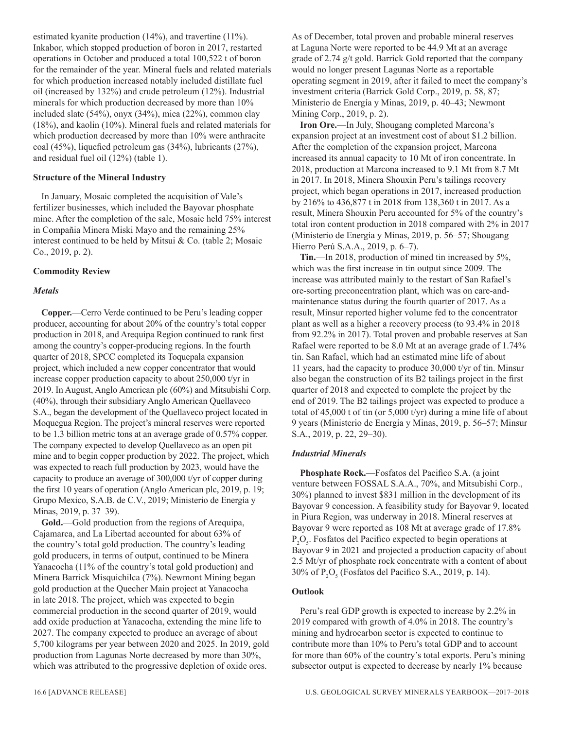estimated kyanite production (14%), and travertine (11%). Inkabor, which stopped production of boron in 2017, restarted operations in October and produced a total 100,522 t of boron for the remainder of the year. Mineral fuels and related materials for which production increased notably included distillate fuel oil (increased by 132%) and crude petroleum (12%). Industrial minerals for which production decreased by more than 10% included slate (54%), onyx (34%), mica (22%), common clay (18%), and kaolin (10%). Mineral fuels and related materials for which production decreased by more than 10% were anthracite coal (45%), liquefied petroleum gas (34%), lubricants (27%), and residual fuel oil (12%) (table 1).

#### **Structure of the Mineral Industry**

In January, Mosaic completed the acquisition of Vale's fertilizer businesses, which included the Bayovar phosphate mine. After the completion of the sale, Mosaic held 75% interest in Compañia Minera Miski Mayo and the remaining 25% interest continued to be held by Mitsui & Co. (table 2; Mosaic Co., 2019, p. 2).

#### **Commodity Review**

#### *Metals*

**Copper.**—Cerro Verde continued to be Peru's leading copper producer, accounting for about 20% of the country's total copper production in 2018, and Arequipa Region continued to rank first among the country's copper-producing regions. In the fourth quarter of 2018, SPCC completed its Toquepala expansion project, which included a new copper concentrator that would increase copper production capacity to about 250,000 t/yr in 2019. In August, Anglo American plc (60%) and Mitsubishi Corp. (40%), through their subsidiary Anglo American Quellaveco S.A., began the development of the Quellaveco project located in Moquegua Region. The project's mineral reserves were reported to be 1.3 billion metric tons at an average grade of 0.57% copper. The company expected to develop Quellaveco as an open pit mine and to begin copper production by 2022. The project, which was expected to reach full production by 2023, would have the capacity to produce an average of 300,000 t/yr of copper during the first 10 years of operation (Anglo American plc, 2019, p. 19; Grupo Mexico, S.A.B. de C.V., 2019; Ministerio de Energía y Minas, 2019, p. 37–39).

**Gold.**—Gold production from the regions of Arequipa, Cajamarca, and La Libertad accounted for about 63% of the country's total gold production. The country's leading gold producers, in terms of output, continued to be Minera Yanacocha (11% of the country's total gold production) and Minera Barrick Misquichilca (7%). Newmont Mining began gold production at the Quecher Main project at Yanacocha in late 2018. The project, which was expected to begin commercial production in the second quarter of 2019, would add oxide production at Yanacocha, extending the mine life to 2027. The company expected to produce an average of about 5,700 kilograms per year between 2020 and 2025. In 2019, gold production from Lagunas Norte decreased by more than 30%, which was attributed to the progressive depletion of oxide ores.

As of December, total proven and probable mineral reserves at Laguna Norte were reported to be 44.9 Mt at an average grade of 2.74 g/t gold. Barrick Gold reported that the company would no longer present Lagunas Norte as a reportable operating segment in 2019, after it failed to meet the company's investment criteria (Barrick Gold Corp., 2019, p. 58, 87; Ministerio de Energía y Minas, 2019, p. 40–43; Newmont Mining Corp., 2019, p. 2).

**Iron Ore.**—In July, Shougang completed Marcona's expansion project at an investment cost of about \$1.2 billion. After the completion of the expansion project, Marcona increased its annual capacity to 10 Mt of iron concentrate. In 2018, production at Marcona increased to 9.1 Mt from 8.7 Mt in 2017. In 2018, Minera Shouxin Peru's tailings recovery project, which began operations in 2017, increased production by 216% to 436,877 t in 2018 from 138,360 t in 2017. As a result, Minera Shouxin Peru accounted for 5% of the country's total iron content production in 2018 compared with 2% in 2017 (Ministerio de Energía y Minas, 2019, p. 56–57; Shougang Hierro Perú S.A.A., 2019, p. 6–7).

**Tin.**—In 2018, production of mined tin increased by 5%, which was the first increase in tin output since 2009. The increase was attributed mainly to the restart of San Rafael's ore-sorting preconcentration plant, which was on care-andmaintenance status during the fourth quarter of 2017. As a result, Minsur reported higher volume fed to the concentrator plant as well as a higher a recovery process (to 93.4% in 2018 from 92.2% in 2017). Total proven and probable reserves at San Rafael were reported to be 8.0 Mt at an average grade of 1.74% tin. San Rafael, which had an estimated mine life of about 11 years, had the capacity to produce 30,000 t/yr of tin. Minsur also began the construction of its B2 tailings project in the first quarter of 2018 and expected to complete the project by the end of 2019. The B2 tailings project was expected to produce a total of 45,000 t of tin (or 5,000 t/yr) during a mine life of about 9 years (Ministerio de Energía y Minas, 2019, p. 56–57; Minsur S.A., 2019, p. 22, 29–30).

#### *Industrial Minerals*

**Phosphate Rock.**—Fosfatos del Pacifico S.A. (a joint venture between FOSSAL S.A.A., 70%, and Mitsubishi Corp., 30%) planned to invest \$831 million in the development of its Bayovar 9 concession. A feasibility study for Bayovar 9, located in Piura Region, was underway in 2018. Mineral reserves at Bayovar 9 were reported as 108 Mt at average grade of 17.8%  $P_2O_5$ . Fosfatos del Pacifico expected to begin operations at Bayovar 9 in 2021 and projected a production capacity of about 2.5 Mt/yr of phosphate rock concentrate with a content of about 30% of  $P_2O_5$  (Fosfatos del Pacifico S.A., 2019, p. 14).

#### **Outlook**

Peru's real GDP growth is expected to increase by 2.2% in 2019 compared with growth of 4.0% in 2018. The country's mining and hydrocarbon sector is expected to continue to contribute more than 10% to Peru's total GDP and to account for more than 60% of the country's total exports. Peru's mining subsector output is expected to decrease by nearly 1% because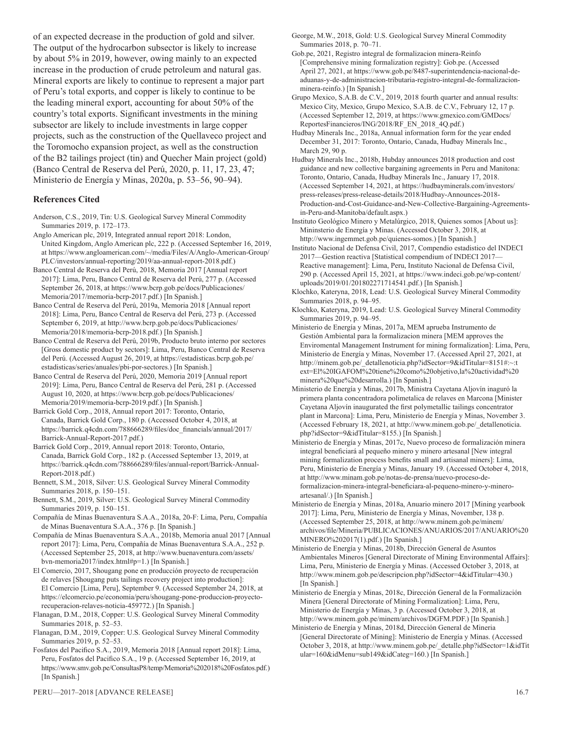of an expected decrease in the production of gold and silver. The output of the hydrocarbon subsector is likely to increase by about 5% in 2019, however, owing mainly to an expected increase in the production of crude petroleum and natural gas. Mineral exports are likely to continue to represent a major part of Peru's total exports, and copper is likely to continue to be the leading mineral export, accounting for about 50% of the country's total exports. Significant investments in the mining subsector are likely to include investments in large copper projects, such as the construction of the Quellaveco project and the Toromocho expansion project, as well as the construction of the B2 tailings project (tin) and Quecher Main project (gold) (Banco Central de Reserva del Perú, 2020, p. 11, 17, 23, 47; Ministerio de Energía y Minas, 2020a, p. 53–56, 90–94).

#### **References Cited**

- Anderson, C.S., 2019, Tin: U.S. Geological Survey Mineral Commodity Summaries 2019, p. 172–173.
- Anglo American plc, 2019, Integrated annual report 2018: London, United Kingdom, Anglo American plc, 222 p. (Accessed September 16, 2019, at https://www.angloamerican.com/~/media/Files/A/Anglo-American-Group/ PLC/investors/annual-reporting/2019/aa-annual-report-2018.pdf.)

Banco Central de Reserva del Perú, 2018, Memoria 2017 [Annual report 2017]: Lima, Peru, Banco Central de Reserva del Perú, 277 p. (Accessed September 26, 2018, at https://www.bcrp.gob.pe/docs/Publicaciones/ Memoria/2017/memoria-bcrp-2017.pdf.) [In Spanish.]

Banco Central de Reserva del Perú, 2019a, Memoria 2018 [Annual report 2018]: Lima, Peru, Banco Central de Reserva del Perú, 273 p. (Accessed September 6, 2019, at http://www.bcrp.gob.pe/docs/Publicaciones/ Memoria/2018/memoria-bcrp-2018.pdf.) [In Spanish.]

Banco Central de Reserva del Perú, 2019b, Producto bruto interno por sectores [Gross domestic product by sectors]: Lima, Peru, Banco Central de Reserva del Perú. (Accessed August 26, 2019, at https://estadisticas.bcrp.gob.pe/ estadisticas/series/anuales/pbi-por-sectores.) [In Spanish.]

Banco Central de Reserva del Perú, 2020, Memoria 2019 [Annual report 2019]: Lima, Peru, Banco Central de Reserva del Perú, 281 p. (Accessed August 10, 2020, at https://www.bcrp.gob.pe/docs/Publicaciones/ Memoria/2019/memoria-bcrp-2019.pdf.) [In Spanish.]

Barrick Gold Corp., 2018, Annual report 2017: Toronto, Ontario, Canada, Barrick Gold Corp., 180 p. (Accessed October 4, 2018, at https://barrick.q4cdn.com/788666289/files/doc\_financials/annual/2017/ Barrick-Annual-Report-2017.pdf.)

Barrick Gold Corp., 2019, Annual report 2018: Toronto, Ontario, Canada, Barrick Gold Corp., 182 p. (Accessed September 13, 2019, at https://barrick.q4cdn.com/788666289/files/annual-report/Barrick-Annual-Report-2018.pdf.)

Bennett, S.M., 2018, Silver: U.S. Geological Survey Mineral Commodity Summaries 2018, p. 150–151.

Bennett, S.M., 2019, Silver: U.S. Geological Survey Mineral Commodity Summaries 2019, p. 150–151.

Compañía de Minas Buenaventura S.A.A., 2018a, 20-F: Lima, Peru, Compañía de Minas Buenaventura S.A.A., 376 p. [In Spanish.]

Compañía de Minas Buenaventura S.A.A., 2018b, Memoria anual 2017 [Annual report 2017]: Lima, Peru, Compañía de Minas Buenaventura S.A.A., 252 p. (Accessed September 25, 2018, at http://www.buenaventura.com/assets/ bvn-memoria2017/index.html#p=1.) [In Spanish.]

El Comercio, 2017, Shougang pone en producción proyecto de recuperación de relaves [Shougang puts tailings recovery project into production]: El Comercio [Lima, Peru], September 9. (Accessed September 24, 2018, at https://elcomercio.pe/economia/peru/shougang-pone-produccion-proyectorecuperacion-relaves-noticia-459772.) [In Spanish.]

Flanagan, D.M., 2018, Copper: U.S. Geological Survey Mineral Commodity Summaries 2018, p. 52–53.

Flanagan, D.M., 2019, Copper: U.S. Geological Survey Mineral Commodity Summaries 2019, p. 52–53.

Fosfatos del Pacifico S.A., 2019, Memoria 2018 [Annual report 2018]: Lima, Peru, Fosfatos del Pacifico S.A., 19 p. (Accessed September 16, 2019, at https://www.smv.gob.pe/ConsultasP8/temp/Memoria%202018%20Fosfatos.pdf.) [In Spanish.]

George, M.W., 2018, Gold: U.S. Geological Survey Mineral Commodity Summaries 2018, p. 70–71.

Gob.pe, 2021, Registro integral de formalizacion minera-Reinfo [Comprehensive mining formalization registry]: Gob.pe. (Accessed April 27, 2021, at https://www.gob.pe/8487-superintendencia-nacional-deaduanas-y-de-administracion-tributaria-registro-integral-de-formalizacionminera-reinfo.) [In Spanish.]

Grupo Mexico, S.A.B. de C.V., 2019, 2018 fourth quarter and annual results: Mexico City, Mexico, Grupo Mexico, S.A.B. de C.V., February 12, 17 p. (Accessed September 12, 2019, at https://www.gmexico.com/GMDocs/ ReportesFinancieros/ING/2018/RF\_EN\_2018\_4Q.pdf.)

Hudbay Minerals Inc., 2018a, Annual information form for the year ended December 31, 2017: Toronto, Ontario, Canada, Hudbay Minerals Inc., March 29, 90 p.

Hudbay Minerals Inc., 2018b, Hubday announces 2018 production and cost guidance and new collective bargaining agreements in Peru and Manitona: Toronto, Ontario, Canada, Hudbay Minerals Inc., January 17, 2018. (Accessed September 14, 2021, at https://hudbayminerals.com/investors/ press-releases/press-release-details/2018/Hudbay-Announces-2018- Production-and-Cost-Guidance-and-New-Collective-Bargaining-Agreementsin-Peru-and-Manitoba/default.aspx.)

Instituto Geológico Minero y Metalúrgico, 2018, Quienes somos [About us]: Mininsterio de Energía y Minas. (Accessed October 3, 2018, at http://www.ingemmet.gob.pe/quienes-somos.) [In Spanish.]

Instituto Nacional de Defensa Civil, 2017, Compendio estadistico del INDECI 2017—Gestion reactiva [Statistical compendium of INDECI 2017— Reactive management]: Lima, Peru, Instituto Nacional de Defensa Civil, 290 p. (Accessed April 15, 2021, at https://www.indeci.gob.pe/wp-content/ uploads/2019/01/201802271714541.pdf.) [In Spanish.]

Klochko, Kateryna, 2018, Lead: U.S. Geological Survey Mineral Commodity Summaries 2018, p. 94–95.

Klochko, Kateryna, 2019, Lead: U.S. Geological Survey Mineral Commodity Summaries 2019, p. 94–95.

Ministerio de Energía y Minas, 2017a, MEM aprueba Instrumento de Gestión Ambiental para la formalizacion minera [MEM approves the Enviromental Management Instrument for mining formalization]: Lima, Peru, Ministerio de Energía y Minas, November 17. (Accessed April 27, 2021, at http://minem.gob.pe/\_detallenoticia.php?idSector=9&idTitular=8151#:~:t ext=El%20IGAFOM%20tiene%20como%20objetivo,la%20actividad%20 minera%20que%20desarrolla.) [In Spanish.]

Ministerio de Energía y Minas, 2017b, Ministra Cayetana Aljovín inaguró la primera planta concentradora polimetalica de relaves en Marcona [Minister Cayetana Aljovín inaugurated the first polymetallic tailings concentrator plant in Marcona]: Lima, Peru, Ministerio de Energía y Minas, November 3. (Accessed February 18, 2021, at http://www.minem.gob.pe/\_detallenoticia. php?idSector=9&idTitular=8155.) [In Spanish.]

Ministerio de Energía y Minas, 2017c, Nuevo proceso de formalización minera integral beneficiará al pequeño minero y minero artesanal [New integral mining formalization process benefits small and artisanal miners]: Lima, Peru, Ministerio de Energía y Minas, January 19. (Accessed October 4, 2018, at http://www.minam.gob.pe/notas-de-prensa/nuevo-proceso-deformalizacion-minera-integral-beneficiara-al-pequeno-minero-y-mineroartesanal/.) [In Spanish.]

Ministerio de Energía y Minas, 2018a, Anuario minero 2017 [Mining yearbook 2017]: Lima, Peru, Ministerio de Energía y Minas, November, 138 p. (Accessed September 25, 2018, at http://www.minem.gob.pe/minem/ archivos/file/Mineria/PUBLICACIONES/ANUARIOS/2017/ANUARIO%20 MINERO%202017(1).pdf.) [In Spanish.]

Ministerio de Energía y Minas, 2018b, Dirección General de Asuntos Ambientales Mineros [General Directorate of Mining Environmental Affairs]: Lima, Peru, Ministerio de Energía y Minas. (Accessed October 3, 2018, at http://www.minem.gob.pe/descripcion.php?idSector=4&idTitular=430.) [In Spanish.]

Ministerio de Energía y Minas, 2018c, Dirección General de la Formalización Minera [General Directorate of Mining Formalization]: Lima, Peru, Ministerio de Energía y Minas, 3 p. (Accessed October 3, 2018, at http://www.minem.gob.pe/minem/archivos/DGFM.PDF.) [In Spanish.]

Ministerio de Energía y Minas, 2018d, Dirección General de Mineria [General Directorate of Mining]: Ministerio de Energía y Minas. (Accessed October 3, 2018, at http://www.minem.gob.pe/\_detalle.php?idSector=1&idTit ular=160&idMenu=sub149&idCateg=160.) [In Spanish.]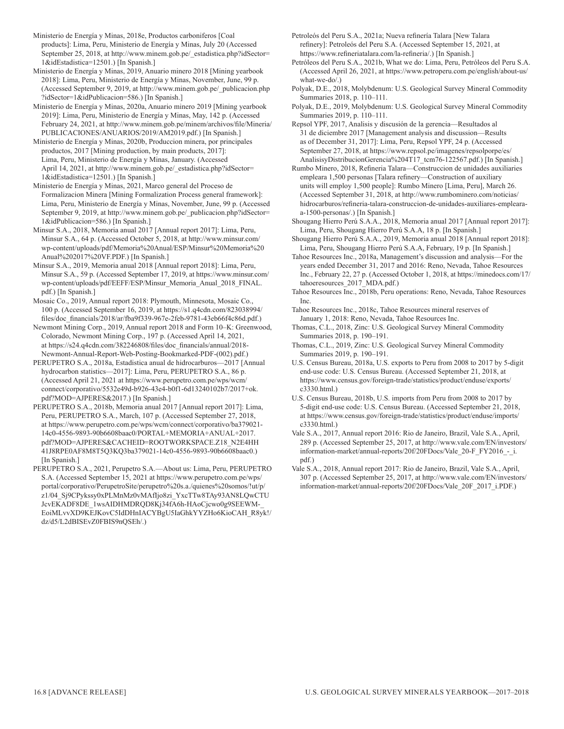Ministerio de Energía y Minas, 2018e, Productos carboniferos [Coal products]: Lima, Peru, Ministerio de Energía y Minas, July 20 (Accessed September 25, 2018, at http://www.minem.gob.pe/\_estadistica.php?idSector= 1&idEstadistica=12501.) [In Spanish.]

Ministerio de Energía y Minas, 2019, Anuario minero 2018 [Mining yearbook 2018]: Lima, Peru, Ministerio de Energía y Minas, November, June, 99 p. (Accessed September 9, 2019, at http://www.minem.gob.pe/\_publicacion.php ?idSector=1&idPublicacion=586.) [In Spanish.]

Ministerio de Energía y Minas, 2020a, Anuario minero 2019 [Mining yearbook 2019]: Lima, Peru, Ministerio de Energía y Minas, May, 142 p. (Accessed February 24, 2021, at http://www.minem.gob.pe/minem/archivos/file/Mineria/ PUBLICACIONES/ANUARIOS/2019/AM2019.pdf.) [In Spanish.]

Ministerio de Energía y Minas, 2020b, Produccion minera, por principales productos, 2017 [Mining production, by main products, 2017]: Lima, Peru, Ministerio de Energía y Minas, January. (Accessed April 14, 2021, at http://www.minem.gob.pe/\_estadistica.php?idSector= 1&idEstadistica=12501.) [In Spanish.]

Ministerio de Energía y Minas, 2021, Marco general del Proceso de Formalizacion Minera [Mining Formalization Process general framework]: Lima, Peru, Ministerio de Energía y Minas, November, June, 99 p. (Accessed September 9, 2019, at http://www.minem.gob.pe/\_publicacion.php?idSector= 1&idPublicacion=586.) [In Spanish.]

Minsur S.A., 2018, Memoria anual 2017 [Annual report 2017]: Lima, Peru, Minsur S.A., 64 p. (Accessed October 5, 2018, at http://www.minsur.com/ wp-content/uploads/pdf/Memoria%20Anual/ESP/Minsur%20Memoria%20 Anual%202017%20VF.PDF.) [In Spanish.]

Minsur S.A., 2019, Memoria anual 2018 [Annual report 2018]: Lima, Peru, Minsur S.A., 59 p. (Accessed September 17, 2019, at https://www.minsur.com/ wp-content/uploads/pdf/EEFF/ESP/Minsur\_Memoria\_Anual\_2018\_FINAL. pdf.) [In Spanish.]

Mosaic Co., 2019, Annual report 2018: Plymouth, Minnesota, Mosaic Co., 100 p. (Accessed September 16, 2019, at https://s1.q4cdn.com/823038994/ files/doc\_financials/2018/ar/fba9f339-967e-2feb-9781-43eb66f4c86d.pdf.)

Newmont Mining Corp., 2019, Annual report 2018 and Form 10–K: Greenwood, Colorado, Newmont Mining Corp., 197 p. (Accessed April 14, 2021, at https://s24.q4cdn.com/382246808/files/doc\_financials/annual/2018- Newmont-Annual-Report-Web-Posting-Bookmarked-PDF-(002).pdf.)

PERUPETRO S.A., 2018a, Estadistica anual de hidrocarburos—2017 [Annual hydrocarbon statistics—2017]: Lima, Peru, PERUPETRO S.A., 86 p. (Accessed April 21, 2021 at https://www.perupetro.com.pe/wps/wcm/ connect/corporativo/5532e49d-b926-43e4-b0f1-6d13240102b7/2017+ok. pdf?MOD=AJPERES&2017.) [In Spanish.]

PERUPETRO S.A., 2018b, Memoria anual 2017 [Annual report 2017]: Lima, Peru, PERUPETRO S.A., March, 107 p. (Accessed September 27, 2018, at https://www.perupetro.com.pe/wps/wcm/connect/corporativo/ba379021- 14c0-4556-9893-90b6608baac0/PORTAL+MEMORIA+ANUAL+2017. pdf?MOD=AJPERES&CACHEID=ROOTWORKSPACE.Z18\_N2E4HH 41J8RPE0AF8M8T5Q3KQ3ba379021-14c0-4556-9893-90b6608baac0.) [In Spanish.]

PERUPETRO S.A., 2021, Perupetro S.A.—About us: Lima, Peru, PERUPETRO S.A. (Accessed September 15, 2021 at https://www.perupetro.com.pe/wps/ portal/corporativo/PerupetroSite/perupetro%20s.a./quienes%20somos/!ut/p/ z1/04\_Sj9CPykssy0xPLMnMz0vMAfIjo8zi\_YxcTTw8TAy93AN8LQwCTU JcvEKADF8DE\_1wsAIDHMDRQD8Kj34fA6h-HAoCjcwo0g9SEEWM-\_ EoiMLvvXD9KEJKovC5IdDHnIACYBgU5IaGhkYYZHo6KioCAH\_R8yk!/ dz/d5/L2dBISEvZ0FBIS9nQSEh/.)

Petroleós del Peru S.A., 2021a; Nueva refinería Talara [New Talara refinery]: Petroleós del Peru S.A. (Accessed September 15, 2021, at https://www.refineriatalara.com/la-refineria/.) [In Spanish.]

Petróleos del Peru S.A., 2021b, What we do: Lima, Peru, Petróleos del Peru S.A. (Accessed April 26, 2021, at https://www.petroperu.com.pe/english/about-us/ what-we-do/.)

Polyak, D.E., 2018, Molybdenum: U.S. Geological Survey Mineral Commodity Summaries 2018, p. 110–111.

Polyak, D.E., 2019, Molybdenum: U.S. Geological Survey Mineral Commodity Summaries 2019, p. 110–111.

Repsol YPF, 2017, Analisis y discusión de la gerencia—Resultados al 31 de diciembre 2017 [Management analysis and discussion—Results as of December 31, 2017]: Lima, Peru, Repsol YPF, 24 p. (Accessed September 27, 2018, at https://www.repsol.pe/imagenes/repsolporpe/es/ AnalisisyDistribucionGerencia%204T17\_tcm76-122567.pdf.) [In Spanish.]

Rumbo Minero, 2018, Refineria Talara—Construccion de unidades auxiliaries empleara 1,500 personas [Talara refinery—Construction of auxiliary units will employ 1,500 people]: Rumbo Minero [Lima, Peru], March 26. (Accessed September 31, 2018, at http://www.rumbominero.com/noticias/ hidrocarburos/refineria-talara-construccion-de-unidades-auxiliares-emplearaa-1500-personas/.) [In Spanish.]

Shougang Hierro Perú S.A.A., 2018, Memoria anual 2017 [Annual report 2017]: Lima, Peru, Shougang Hierro Perú S.A.A, 18 p. [In Spanish.]

Shougang Hierro Perú S.A.A., 2019, Memoria anual 2018 [Annual report 2018]: Lima, Peru, Shougang Hierro Perú S.A.A, February, 19 p. [In Spanish.]

Tahoe Resources Inc., 2018a, Management's discussion and analysis—For the years ended December 31, 2017 and 2016: Reno, Nevada, Tahoe Resources Inc., February 22, 27 p. (Accessed October 1, 2018, at https://minedocs.com/17/ tahoeresources\_2017\_MDA.pdf.)

Tahoe Resources Inc., 2018b, Peru operations: Reno, Nevada, Tahoe Resources Inc.

Tahoe Resources Inc., 2018c, Tahoe Resources mineral reserves of January 1, 2018: Reno, Nevada, Tahoe Resources Inc.

- Thomas, C.L., 2018, Zinc: U.S. Geological Survey Mineral Commodity Summaries 2018, p. 190–191.
- Thomas, C.L., 2019, Zinc: U.S. Geological Survey Mineral Commodity Summaries 2019, p. 190–191.
- U.S. Census Bureau, 2018a, U.S. exports to Peru from 2008 to 2017 by 5-digit end-use code: U.S. Census Bureau. (Accessed September 21, 2018, at https://www.census.gov/foreign-trade/statistics/product/enduse/exports/ c3330.html.)
- U.S. Census Bureau, 2018b, U.S. imports from Peru from 2008 to 2017 by 5-digit end-use code: U.S. Census Bureau. (Accessed September 21, 2018, at https://www.census.gov/foreign-trade/statistics/product/enduse/imports/ c3330.html.)
- Vale S.A., 2017, Annual report 2016: Rio de Janeiro, Brazil, Vale S.A., April, 289 p. (Accessed September 25, 2017, at http://www.vale.com/EN/investors/ information-market/annual-reports/20f/20FDocs/Vale\_20-F\_FY2016\_-\_i. pdf.)

Vale S.A., 2018, Annual report 2017: Rio de Janeiro, Brazil, Vale S.A., April, 307 p. (Accessed September 25, 2017, at http://www.vale.com/EN/investors/ information-market/annual-reports/20f/20FDocs/Vale\_20F\_2017\_i.PDF.)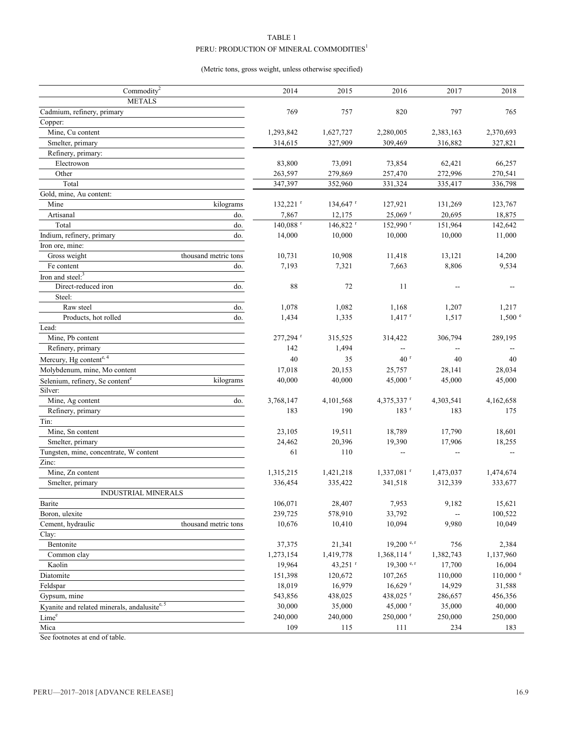# TABLE 1  ${\rm PERU: PRODUCTION}$  OF MINERAL COMMODITIES  $^{\rm l}$

# (Metric tons, gross weight, unless otherwise specified)

| <b>METALS</b><br>Cadmium, refinery, primary<br>769<br>820<br>797<br>757<br>765<br>Copper:<br>Mine, Cu content<br>1,293,842<br>1,627,727<br>2,280,005<br>2,383,163<br>2,370,693<br>Smelter, primary<br>314,615<br>327,909<br>309,469<br>316,882<br>327,821<br>Refinery, primary:<br>83,800<br>Electrowon<br>73,091<br>73,854<br>62,421<br>66,257<br>272,996<br>Other<br>263,597<br>279,869<br>257,470<br>270,541<br>Total<br>347,397<br>352,960<br>331,324<br>336,798<br>335,417<br>Gold, mine, Au content:<br>Mine<br>$132,221$ <sup>r</sup><br>$134,647$ <sup>r</sup><br>127,921<br>123,767<br>kilograms<br>131,269<br>Artisanal<br>do.<br>7,867<br>12,175<br>25,069 r<br>20,695<br>18,875<br>$140,088$ <sup>r</sup><br>146,822 r<br>152,990 r<br>151,964<br>142,642<br>Total<br>do.<br>Indium, refinery, primary<br>do.<br>14,000<br>10,000<br>10,000<br>11,000<br>10,000<br>Iron ore, mine:<br>Gross weight<br>thousand metric tons<br>10,731<br>10,908<br>11,418<br>13,121<br>14,200<br>8,806<br>9,534<br>Fe content<br>do.<br>7,193<br>7,321<br>7,663<br>Iron and steel: <sup>3</sup><br>Direct-reduced iron<br>88<br>do.<br>72<br>11<br>--<br>Steel:<br>Raw steel<br>1,082<br>1,168<br>do.<br>1,078<br>1,207<br>1,217<br>$1,417$ <sup>r</sup><br>1,517<br>$1,500$ $^{\circ}$<br>Products, hot rolled<br>1,434<br>1,335<br>do.<br>Lead:<br>Mine, Pb content<br>$277,294$ <sup>r</sup><br>315,525<br>314,422<br>306,794<br>289,195<br>Refinery, primary<br>142<br>1,494<br>Щ,<br>$\overline{\phantom{a}}$<br>Mercury, Hg contente, 4<br>40<br>40 <sup>r</sup><br>35<br>40<br>40<br>Molybdenum, mine, Mo content<br>28,034<br>17,018<br>20,153<br>25,757<br>28,141<br>45,000 r<br>45,000<br>40,000<br>40,000<br>45,000<br>Selenium, refinery, Se content <sup>e</sup><br>kilograms<br>Silver:<br>Mine, Ag content<br>3,768,147<br>4,101,568<br>4,303,541<br>4,162,658<br>do.<br>$4,375,337$ <sup>r</sup><br>190<br>$183$ <sup>r</sup><br>Refinery, primary<br>183<br>183<br>175<br>Tin:<br>Mine, Sn content<br>18,601<br>23,105<br>19,511<br>18,789<br>17,790<br>24,462<br>20,396<br>17,906<br>Smelter, primary<br>19,390<br>18,255<br>Tungsten, mine, concentrate, W content<br>61<br>110<br>--<br>--<br>Zinc:<br>Mine, Zn content<br>1,315,215<br>1,421,218<br>$1,337,081$ <sup>r</sup><br>1,474,674<br>1,473,037<br>336,454<br>335,422<br>341,518<br>312,339<br>333,677<br>Smelter, primary<br>INDUSTRIAL MINERALS<br>106,071<br>15,621<br>Barite<br>28,407<br>7,953<br>9,182<br>239,725<br>33,792<br>Boron, ulexite<br>578,910<br>100,522<br>Cement, hydraulic<br>thousand metric tons<br>10,676<br>10,410<br>10,094<br>9,980<br>10,049<br>Clay:<br>Bentonite<br>37,375<br>$19,200$ e, r<br>756<br>21,341<br>2,384<br>1,273,154<br>1,419,778<br>$1,368,114$ <sup>r</sup><br>1,382,743<br>1,137,960<br>Common clay<br>Kaolin<br>19,964<br>43,251 $r$<br>$19,300$ e, r<br>17,700<br>16,004<br>Diatomite<br>151,398<br>110,000<br>$110,000$ $^{\circ}$<br>120,672<br>107,265<br>Feldspar<br>18,019<br>16,979<br>$16,629$ <sup>r</sup><br>14,929<br>31,588<br>543,856<br>438,025<br>Gypsum, mine<br>438,025 $r$<br>286,657<br>456,356<br>Kyanite and related minerals, andalusitee, 5<br>30,000<br>35,000<br>$45,000$ <sup>r</sup><br>35,000<br>40,000<br>Lime <sup>e</sup><br>240,000<br>$250,000$ <sup>r</sup><br>240,000<br>250,000<br>250,000<br>Mica<br>109<br>115<br>234<br>183<br>111 | Commodity <sup>2</sup> | 2014 | 2015 | 2016 | 2017 | 2018 |
|-------------------------------------------------------------------------------------------------------------------------------------------------------------------------------------------------------------------------------------------------------------------------------------------------------------------------------------------------------------------------------------------------------------------------------------------------------------------------------------------------------------------------------------------------------------------------------------------------------------------------------------------------------------------------------------------------------------------------------------------------------------------------------------------------------------------------------------------------------------------------------------------------------------------------------------------------------------------------------------------------------------------------------------------------------------------------------------------------------------------------------------------------------------------------------------------------------------------------------------------------------------------------------------------------------------------------------------------------------------------------------------------------------------------------------------------------------------------------------------------------------------------------------------------------------------------------------------------------------------------------------------------------------------------------------------------------------------------------------------------------------------------------------------------------------------------------------------------------------------------------------------------------------------------------------------------------------------------------------------------------------------------------------------------------------------------------------------------------------------------------------------------------------------------------------------------------------------------------------------------------------------------------------------------------------------------------------------------------------------------------------------------------------------------------------------------------------------------------------------------------------------------------------------------------------------------------------------------------------------------------------------------------------------------------------------------------------------------------------------------------------------------------------------------------------------------------------------------------------------------------------------------------------------------------------------------------------------------------------------------------------------------------------------------------------------------------------------------------------------------------------------------------------------------------------------------------------------------------------------------------------------------------------------------------------------------------------------------------------------------------------------------------|------------------------|------|------|------|------|------|
|                                                                                                                                                                                                                                                                                                                                                                                                                                                                                                                                                                                                                                                                                                                                                                                                                                                                                                                                                                                                                                                                                                                                                                                                                                                                                                                                                                                                                                                                                                                                                                                                                                                                                                                                                                                                                                                                                                                                                                                                                                                                                                                                                                                                                                                                                                                                                                                                                                                                                                                                                                                                                                                                                                                                                                                                                                                                                                                                                                                                                                                                                                                                                                                                                                                                                                                                                                                                 |                        |      |      |      |      |      |
|                                                                                                                                                                                                                                                                                                                                                                                                                                                                                                                                                                                                                                                                                                                                                                                                                                                                                                                                                                                                                                                                                                                                                                                                                                                                                                                                                                                                                                                                                                                                                                                                                                                                                                                                                                                                                                                                                                                                                                                                                                                                                                                                                                                                                                                                                                                                                                                                                                                                                                                                                                                                                                                                                                                                                                                                                                                                                                                                                                                                                                                                                                                                                                                                                                                                                                                                                                                                 |                        |      |      |      |      |      |
|                                                                                                                                                                                                                                                                                                                                                                                                                                                                                                                                                                                                                                                                                                                                                                                                                                                                                                                                                                                                                                                                                                                                                                                                                                                                                                                                                                                                                                                                                                                                                                                                                                                                                                                                                                                                                                                                                                                                                                                                                                                                                                                                                                                                                                                                                                                                                                                                                                                                                                                                                                                                                                                                                                                                                                                                                                                                                                                                                                                                                                                                                                                                                                                                                                                                                                                                                                                                 |                        |      |      |      |      |      |
|                                                                                                                                                                                                                                                                                                                                                                                                                                                                                                                                                                                                                                                                                                                                                                                                                                                                                                                                                                                                                                                                                                                                                                                                                                                                                                                                                                                                                                                                                                                                                                                                                                                                                                                                                                                                                                                                                                                                                                                                                                                                                                                                                                                                                                                                                                                                                                                                                                                                                                                                                                                                                                                                                                                                                                                                                                                                                                                                                                                                                                                                                                                                                                                                                                                                                                                                                                                                 |                        |      |      |      |      |      |
|                                                                                                                                                                                                                                                                                                                                                                                                                                                                                                                                                                                                                                                                                                                                                                                                                                                                                                                                                                                                                                                                                                                                                                                                                                                                                                                                                                                                                                                                                                                                                                                                                                                                                                                                                                                                                                                                                                                                                                                                                                                                                                                                                                                                                                                                                                                                                                                                                                                                                                                                                                                                                                                                                                                                                                                                                                                                                                                                                                                                                                                                                                                                                                                                                                                                                                                                                                                                 |                        |      |      |      |      |      |
|                                                                                                                                                                                                                                                                                                                                                                                                                                                                                                                                                                                                                                                                                                                                                                                                                                                                                                                                                                                                                                                                                                                                                                                                                                                                                                                                                                                                                                                                                                                                                                                                                                                                                                                                                                                                                                                                                                                                                                                                                                                                                                                                                                                                                                                                                                                                                                                                                                                                                                                                                                                                                                                                                                                                                                                                                                                                                                                                                                                                                                                                                                                                                                                                                                                                                                                                                                                                 |                        |      |      |      |      |      |
|                                                                                                                                                                                                                                                                                                                                                                                                                                                                                                                                                                                                                                                                                                                                                                                                                                                                                                                                                                                                                                                                                                                                                                                                                                                                                                                                                                                                                                                                                                                                                                                                                                                                                                                                                                                                                                                                                                                                                                                                                                                                                                                                                                                                                                                                                                                                                                                                                                                                                                                                                                                                                                                                                                                                                                                                                                                                                                                                                                                                                                                                                                                                                                                                                                                                                                                                                                                                 |                        |      |      |      |      |      |
|                                                                                                                                                                                                                                                                                                                                                                                                                                                                                                                                                                                                                                                                                                                                                                                                                                                                                                                                                                                                                                                                                                                                                                                                                                                                                                                                                                                                                                                                                                                                                                                                                                                                                                                                                                                                                                                                                                                                                                                                                                                                                                                                                                                                                                                                                                                                                                                                                                                                                                                                                                                                                                                                                                                                                                                                                                                                                                                                                                                                                                                                                                                                                                                                                                                                                                                                                                                                 |                        |      |      |      |      |      |
|                                                                                                                                                                                                                                                                                                                                                                                                                                                                                                                                                                                                                                                                                                                                                                                                                                                                                                                                                                                                                                                                                                                                                                                                                                                                                                                                                                                                                                                                                                                                                                                                                                                                                                                                                                                                                                                                                                                                                                                                                                                                                                                                                                                                                                                                                                                                                                                                                                                                                                                                                                                                                                                                                                                                                                                                                                                                                                                                                                                                                                                                                                                                                                                                                                                                                                                                                                                                 |                        |      |      |      |      |      |
|                                                                                                                                                                                                                                                                                                                                                                                                                                                                                                                                                                                                                                                                                                                                                                                                                                                                                                                                                                                                                                                                                                                                                                                                                                                                                                                                                                                                                                                                                                                                                                                                                                                                                                                                                                                                                                                                                                                                                                                                                                                                                                                                                                                                                                                                                                                                                                                                                                                                                                                                                                                                                                                                                                                                                                                                                                                                                                                                                                                                                                                                                                                                                                                                                                                                                                                                                                                                 |                        |      |      |      |      |      |
|                                                                                                                                                                                                                                                                                                                                                                                                                                                                                                                                                                                                                                                                                                                                                                                                                                                                                                                                                                                                                                                                                                                                                                                                                                                                                                                                                                                                                                                                                                                                                                                                                                                                                                                                                                                                                                                                                                                                                                                                                                                                                                                                                                                                                                                                                                                                                                                                                                                                                                                                                                                                                                                                                                                                                                                                                                                                                                                                                                                                                                                                                                                                                                                                                                                                                                                                                                                                 |                        |      |      |      |      |      |
|                                                                                                                                                                                                                                                                                                                                                                                                                                                                                                                                                                                                                                                                                                                                                                                                                                                                                                                                                                                                                                                                                                                                                                                                                                                                                                                                                                                                                                                                                                                                                                                                                                                                                                                                                                                                                                                                                                                                                                                                                                                                                                                                                                                                                                                                                                                                                                                                                                                                                                                                                                                                                                                                                                                                                                                                                                                                                                                                                                                                                                                                                                                                                                                                                                                                                                                                                                                                 |                        |      |      |      |      |      |
|                                                                                                                                                                                                                                                                                                                                                                                                                                                                                                                                                                                                                                                                                                                                                                                                                                                                                                                                                                                                                                                                                                                                                                                                                                                                                                                                                                                                                                                                                                                                                                                                                                                                                                                                                                                                                                                                                                                                                                                                                                                                                                                                                                                                                                                                                                                                                                                                                                                                                                                                                                                                                                                                                                                                                                                                                                                                                                                                                                                                                                                                                                                                                                                                                                                                                                                                                                                                 |                        |      |      |      |      |      |
|                                                                                                                                                                                                                                                                                                                                                                                                                                                                                                                                                                                                                                                                                                                                                                                                                                                                                                                                                                                                                                                                                                                                                                                                                                                                                                                                                                                                                                                                                                                                                                                                                                                                                                                                                                                                                                                                                                                                                                                                                                                                                                                                                                                                                                                                                                                                                                                                                                                                                                                                                                                                                                                                                                                                                                                                                                                                                                                                                                                                                                                                                                                                                                                                                                                                                                                                                                                                 |                        |      |      |      |      |      |
|                                                                                                                                                                                                                                                                                                                                                                                                                                                                                                                                                                                                                                                                                                                                                                                                                                                                                                                                                                                                                                                                                                                                                                                                                                                                                                                                                                                                                                                                                                                                                                                                                                                                                                                                                                                                                                                                                                                                                                                                                                                                                                                                                                                                                                                                                                                                                                                                                                                                                                                                                                                                                                                                                                                                                                                                                                                                                                                                                                                                                                                                                                                                                                                                                                                                                                                                                                                                 |                        |      |      |      |      |      |
|                                                                                                                                                                                                                                                                                                                                                                                                                                                                                                                                                                                                                                                                                                                                                                                                                                                                                                                                                                                                                                                                                                                                                                                                                                                                                                                                                                                                                                                                                                                                                                                                                                                                                                                                                                                                                                                                                                                                                                                                                                                                                                                                                                                                                                                                                                                                                                                                                                                                                                                                                                                                                                                                                                                                                                                                                                                                                                                                                                                                                                                                                                                                                                                                                                                                                                                                                                                                 |                        |      |      |      |      |      |
|                                                                                                                                                                                                                                                                                                                                                                                                                                                                                                                                                                                                                                                                                                                                                                                                                                                                                                                                                                                                                                                                                                                                                                                                                                                                                                                                                                                                                                                                                                                                                                                                                                                                                                                                                                                                                                                                                                                                                                                                                                                                                                                                                                                                                                                                                                                                                                                                                                                                                                                                                                                                                                                                                                                                                                                                                                                                                                                                                                                                                                                                                                                                                                                                                                                                                                                                                                                                 |                        |      |      |      |      |      |
|                                                                                                                                                                                                                                                                                                                                                                                                                                                                                                                                                                                                                                                                                                                                                                                                                                                                                                                                                                                                                                                                                                                                                                                                                                                                                                                                                                                                                                                                                                                                                                                                                                                                                                                                                                                                                                                                                                                                                                                                                                                                                                                                                                                                                                                                                                                                                                                                                                                                                                                                                                                                                                                                                                                                                                                                                                                                                                                                                                                                                                                                                                                                                                                                                                                                                                                                                                                                 |                        |      |      |      |      |      |
|                                                                                                                                                                                                                                                                                                                                                                                                                                                                                                                                                                                                                                                                                                                                                                                                                                                                                                                                                                                                                                                                                                                                                                                                                                                                                                                                                                                                                                                                                                                                                                                                                                                                                                                                                                                                                                                                                                                                                                                                                                                                                                                                                                                                                                                                                                                                                                                                                                                                                                                                                                                                                                                                                                                                                                                                                                                                                                                                                                                                                                                                                                                                                                                                                                                                                                                                                                                                 |                        |      |      |      |      |      |
|                                                                                                                                                                                                                                                                                                                                                                                                                                                                                                                                                                                                                                                                                                                                                                                                                                                                                                                                                                                                                                                                                                                                                                                                                                                                                                                                                                                                                                                                                                                                                                                                                                                                                                                                                                                                                                                                                                                                                                                                                                                                                                                                                                                                                                                                                                                                                                                                                                                                                                                                                                                                                                                                                                                                                                                                                                                                                                                                                                                                                                                                                                                                                                                                                                                                                                                                                                                                 |                        |      |      |      |      |      |
|                                                                                                                                                                                                                                                                                                                                                                                                                                                                                                                                                                                                                                                                                                                                                                                                                                                                                                                                                                                                                                                                                                                                                                                                                                                                                                                                                                                                                                                                                                                                                                                                                                                                                                                                                                                                                                                                                                                                                                                                                                                                                                                                                                                                                                                                                                                                                                                                                                                                                                                                                                                                                                                                                                                                                                                                                                                                                                                                                                                                                                                                                                                                                                                                                                                                                                                                                                                                 |                        |      |      |      |      |      |
|                                                                                                                                                                                                                                                                                                                                                                                                                                                                                                                                                                                                                                                                                                                                                                                                                                                                                                                                                                                                                                                                                                                                                                                                                                                                                                                                                                                                                                                                                                                                                                                                                                                                                                                                                                                                                                                                                                                                                                                                                                                                                                                                                                                                                                                                                                                                                                                                                                                                                                                                                                                                                                                                                                                                                                                                                                                                                                                                                                                                                                                                                                                                                                                                                                                                                                                                                                                                 |                        |      |      |      |      |      |
|                                                                                                                                                                                                                                                                                                                                                                                                                                                                                                                                                                                                                                                                                                                                                                                                                                                                                                                                                                                                                                                                                                                                                                                                                                                                                                                                                                                                                                                                                                                                                                                                                                                                                                                                                                                                                                                                                                                                                                                                                                                                                                                                                                                                                                                                                                                                                                                                                                                                                                                                                                                                                                                                                                                                                                                                                                                                                                                                                                                                                                                                                                                                                                                                                                                                                                                                                                                                 |                        |      |      |      |      |      |
|                                                                                                                                                                                                                                                                                                                                                                                                                                                                                                                                                                                                                                                                                                                                                                                                                                                                                                                                                                                                                                                                                                                                                                                                                                                                                                                                                                                                                                                                                                                                                                                                                                                                                                                                                                                                                                                                                                                                                                                                                                                                                                                                                                                                                                                                                                                                                                                                                                                                                                                                                                                                                                                                                                                                                                                                                                                                                                                                                                                                                                                                                                                                                                                                                                                                                                                                                                                                 |                        |      |      |      |      |      |
|                                                                                                                                                                                                                                                                                                                                                                                                                                                                                                                                                                                                                                                                                                                                                                                                                                                                                                                                                                                                                                                                                                                                                                                                                                                                                                                                                                                                                                                                                                                                                                                                                                                                                                                                                                                                                                                                                                                                                                                                                                                                                                                                                                                                                                                                                                                                                                                                                                                                                                                                                                                                                                                                                                                                                                                                                                                                                                                                                                                                                                                                                                                                                                                                                                                                                                                                                                                                 |                        |      |      |      |      |      |
|                                                                                                                                                                                                                                                                                                                                                                                                                                                                                                                                                                                                                                                                                                                                                                                                                                                                                                                                                                                                                                                                                                                                                                                                                                                                                                                                                                                                                                                                                                                                                                                                                                                                                                                                                                                                                                                                                                                                                                                                                                                                                                                                                                                                                                                                                                                                                                                                                                                                                                                                                                                                                                                                                                                                                                                                                                                                                                                                                                                                                                                                                                                                                                                                                                                                                                                                                                                                 |                        |      |      |      |      |      |
|                                                                                                                                                                                                                                                                                                                                                                                                                                                                                                                                                                                                                                                                                                                                                                                                                                                                                                                                                                                                                                                                                                                                                                                                                                                                                                                                                                                                                                                                                                                                                                                                                                                                                                                                                                                                                                                                                                                                                                                                                                                                                                                                                                                                                                                                                                                                                                                                                                                                                                                                                                                                                                                                                                                                                                                                                                                                                                                                                                                                                                                                                                                                                                                                                                                                                                                                                                                                 |                        |      |      |      |      |      |
|                                                                                                                                                                                                                                                                                                                                                                                                                                                                                                                                                                                                                                                                                                                                                                                                                                                                                                                                                                                                                                                                                                                                                                                                                                                                                                                                                                                                                                                                                                                                                                                                                                                                                                                                                                                                                                                                                                                                                                                                                                                                                                                                                                                                                                                                                                                                                                                                                                                                                                                                                                                                                                                                                                                                                                                                                                                                                                                                                                                                                                                                                                                                                                                                                                                                                                                                                                                                 |                        |      |      |      |      |      |
|                                                                                                                                                                                                                                                                                                                                                                                                                                                                                                                                                                                                                                                                                                                                                                                                                                                                                                                                                                                                                                                                                                                                                                                                                                                                                                                                                                                                                                                                                                                                                                                                                                                                                                                                                                                                                                                                                                                                                                                                                                                                                                                                                                                                                                                                                                                                                                                                                                                                                                                                                                                                                                                                                                                                                                                                                                                                                                                                                                                                                                                                                                                                                                                                                                                                                                                                                                                                 |                        |      |      |      |      |      |
|                                                                                                                                                                                                                                                                                                                                                                                                                                                                                                                                                                                                                                                                                                                                                                                                                                                                                                                                                                                                                                                                                                                                                                                                                                                                                                                                                                                                                                                                                                                                                                                                                                                                                                                                                                                                                                                                                                                                                                                                                                                                                                                                                                                                                                                                                                                                                                                                                                                                                                                                                                                                                                                                                                                                                                                                                                                                                                                                                                                                                                                                                                                                                                                                                                                                                                                                                                                                 |                        |      |      |      |      |      |
|                                                                                                                                                                                                                                                                                                                                                                                                                                                                                                                                                                                                                                                                                                                                                                                                                                                                                                                                                                                                                                                                                                                                                                                                                                                                                                                                                                                                                                                                                                                                                                                                                                                                                                                                                                                                                                                                                                                                                                                                                                                                                                                                                                                                                                                                                                                                                                                                                                                                                                                                                                                                                                                                                                                                                                                                                                                                                                                                                                                                                                                                                                                                                                                                                                                                                                                                                                                                 |                        |      |      |      |      |      |
|                                                                                                                                                                                                                                                                                                                                                                                                                                                                                                                                                                                                                                                                                                                                                                                                                                                                                                                                                                                                                                                                                                                                                                                                                                                                                                                                                                                                                                                                                                                                                                                                                                                                                                                                                                                                                                                                                                                                                                                                                                                                                                                                                                                                                                                                                                                                                                                                                                                                                                                                                                                                                                                                                                                                                                                                                                                                                                                                                                                                                                                                                                                                                                                                                                                                                                                                                                                                 |                        |      |      |      |      |      |
|                                                                                                                                                                                                                                                                                                                                                                                                                                                                                                                                                                                                                                                                                                                                                                                                                                                                                                                                                                                                                                                                                                                                                                                                                                                                                                                                                                                                                                                                                                                                                                                                                                                                                                                                                                                                                                                                                                                                                                                                                                                                                                                                                                                                                                                                                                                                                                                                                                                                                                                                                                                                                                                                                                                                                                                                                                                                                                                                                                                                                                                                                                                                                                                                                                                                                                                                                                                                 |                        |      |      |      |      |      |
|                                                                                                                                                                                                                                                                                                                                                                                                                                                                                                                                                                                                                                                                                                                                                                                                                                                                                                                                                                                                                                                                                                                                                                                                                                                                                                                                                                                                                                                                                                                                                                                                                                                                                                                                                                                                                                                                                                                                                                                                                                                                                                                                                                                                                                                                                                                                                                                                                                                                                                                                                                                                                                                                                                                                                                                                                                                                                                                                                                                                                                                                                                                                                                                                                                                                                                                                                                                                 |                        |      |      |      |      |      |
|                                                                                                                                                                                                                                                                                                                                                                                                                                                                                                                                                                                                                                                                                                                                                                                                                                                                                                                                                                                                                                                                                                                                                                                                                                                                                                                                                                                                                                                                                                                                                                                                                                                                                                                                                                                                                                                                                                                                                                                                                                                                                                                                                                                                                                                                                                                                                                                                                                                                                                                                                                                                                                                                                                                                                                                                                                                                                                                                                                                                                                                                                                                                                                                                                                                                                                                                                                                                 |                        |      |      |      |      |      |
|                                                                                                                                                                                                                                                                                                                                                                                                                                                                                                                                                                                                                                                                                                                                                                                                                                                                                                                                                                                                                                                                                                                                                                                                                                                                                                                                                                                                                                                                                                                                                                                                                                                                                                                                                                                                                                                                                                                                                                                                                                                                                                                                                                                                                                                                                                                                                                                                                                                                                                                                                                                                                                                                                                                                                                                                                                                                                                                                                                                                                                                                                                                                                                                                                                                                                                                                                                                                 |                        |      |      |      |      |      |
|                                                                                                                                                                                                                                                                                                                                                                                                                                                                                                                                                                                                                                                                                                                                                                                                                                                                                                                                                                                                                                                                                                                                                                                                                                                                                                                                                                                                                                                                                                                                                                                                                                                                                                                                                                                                                                                                                                                                                                                                                                                                                                                                                                                                                                                                                                                                                                                                                                                                                                                                                                                                                                                                                                                                                                                                                                                                                                                                                                                                                                                                                                                                                                                                                                                                                                                                                                                                 |                        |      |      |      |      |      |
|                                                                                                                                                                                                                                                                                                                                                                                                                                                                                                                                                                                                                                                                                                                                                                                                                                                                                                                                                                                                                                                                                                                                                                                                                                                                                                                                                                                                                                                                                                                                                                                                                                                                                                                                                                                                                                                                                                                                                                                                                                                                                                                                                                                                                                                                                                                                                                                                                                                                                                                                                                                                                                                                                                                                                                                                                                                                                                                                                                                                                                                                                                                                                                                                                                                                                                                                                                                                 |                        |      |      |      |      |      |
|                                                                                                                                                                                                                                                                                                                                                                                                                                                                                                                                                                                                                                                                                                                                                                                                                                                                                                                                                                                                                                                                                                                                                                                                                                                                                                                                                                                                                                                                                                                                                                                                                                                                                                                                                                                                                                                                                                                                                                                                                                                                                                                                                                                                                                                                                                                                                                                                                                                                                                                                                                                                                                                                                                                                                                                                                                                                                                                                                                                                                                                                                                                                                                                                                                                                                                                                                                                                 |                        |      |      |      |      |      |
|                                                                                                                                                                                                                                                                                                                                                                                                                                                                                                                                                                                                                                                                                                                                                                                                                                                                                                                                                                                                                                                                                                                                                                                                                                                                                                                                                                                                                                                                                                                                                                                                                                                                                                                                                                                                                                                                                                                                                                                                                                                                                                                                                                                                                                                                                                                                                                                                                                                                                                                                                                                                                                                                                                                                                                                                                                                                                                                                                                                                                                                                                                                                                                                                                                                                                                                                                                                                 |                        |      |      |      |      |      |
|                                                                                                                                                                                                                                                                                                                                                                                                                                                                                                                                                                                                                                                                                                                                                                                                                                                                                                                                                                                                                                                                                                                                                                                                                                                                                                                                                                                                                                                                                                                                                                                                                                                                                                                                                                                                                                                                                                                                                                                                                                                                                                                                                                                                                                                                                                                                                                                                                                                                                                                                                                                                                                                                                                                                                                                                                                                                                                                                                                                                                                                                                                                                                                                                                                                                                                                                                                                                 |                        |      |      |      |      |      |
|                                                                                                                                                                                                                                                                                                                                                                                                                                                                                                                                                                                                                                                                                                                                                                                                                                                                                                                                                                                                                                                                                                                                                                                                                                                                                                                                                                                                                                                                                                                                                                                                                                                                                                                                                                                                                                                                                                                                                                                                                                                                                                                                                                                                                                                                                                                                                                                                                                                                                                                                                                                                                                                                                                                                                                                                                                                                                                                                                                                                                                                                                                                                                                                                                                                                                                                                                                                                 |                        |      |      |      |      |      |
|                                                                                                                                                                                                                                                                                                                                                                                                                                                                                                                                                                                                                                                                                                                                                                                                                                                                                                                                                                                                                                                                                                                                                                                                                                                                                                                                                                                                                                                                                                                                                                                                                                                                                                                                                                                                                                                                                                                                                                                                                                                                                                                                                                                                                                                                                                                                                                                                                                                                                                                                                                                                                                                                                                                                                                                                                                                                                                                                                                                                                                                                                                                                                                                                                                                                                                                                                                                                 |                        |      |      |      |      |      |
|                                                                                                                                                                                                                                                                                                                                                                                                                                                                                                                                                                                                                                                                                                                                                                                                                                                                                                                                                                                                                                                                                                                                                                                                                                                                                                                                                                                                                                                                                                                                                                                                                                                                                                                                                                                                                                                                                                                                                                                                                                                                                                                                                                                                                                                                                                                                                                                                                                                                                                                                                                                                                                                                                                                                                                                                                                                                                                                                                                                                                                                                                                                                                                                                                                                                                                                                                                                                 |                        |      |      |      |      |      |
|                                                                                                                                                                                                                                                                                                                                                                                                                                                                                                                                                                                                                                                                                                                                                                                                                                                                                                                                                                                                                                                                                                                                                                                                                                                                                                                                                                                                                                                                                                                                                                                                                                                                                                                                                                                                                                                                                                                                                                                                                                                                                                                                                                                                                                                                                                                                                                                                                                                                                                                                                                                                                                                                                                                                                                                                                                                                                                                                                                                                                                                                                                                                                                                                                                                                                                                                                                                                 |                        |      |      |      |      |      |
|                                                                                                                                                                                                                                                                                                                                                                                                                                                                                                                                                                                                                                                                                                                                                                                                                                                                                                                                                                                                                                                                                                                                                                                                                                                                                                                                                                                                                                                                                                                                                                                                                                                                                                                                                                                                                                                                                                                                                                                                                                                                                                                                                                                                                                                                                                                                                                                                                                                                                                                                                                                                                                                                                                                                                                                                                                                                                                                                                                                                                                                                                                                                                                                                                                                                                                                                                                                                 |                        |      |      |      |      |      |
|                                                                                                                                                                                                                                                                                                                                                                                                                                                                                                                                                                                                                                                                                                                                                                                                                                                                                                                                                                                                                                                                                                                                                                                                                                                                                                                                                                                                                                                                                                                                                                                                                                                                                                                                                                                                                                                                                                                                                                                                                                                                                                                                                                                                                                                                                                                                                                                                                                                                                                                                                                                                                                                                                                                                                                                                                                                                                                                                                                                                                                                                                                                                                                                                                                                                                                                                                                                                 |                        |      |      |      |      |      |
|                                                                                                                                                                                                                                                                                                                                                                                                                                                                                                                                                                                                                                                                                                                                                                                                                                                                                                                                                                                                                                                                                                                                                                                                                                                                                                                                                                                                                                                                                                                                                                                                                                                                                                                                                                                                                                                                                                                                                                                                                                                                                                                                                                                                                                                                                                                                                                                                                                                                                                                                                                                                                                                                                                                                                                                                                                                                                                                                                                                                                                                                                                                                                                                                                                                                                                                                                                                                 |                        |      |      |      |      |      |
|                                                                                                                                                                                                                                                                                                                                                                                                                                                                                                                                                                                                                                                                                                                                                                                                                                                                                                                                                                                                                                                                                                                                                                                                                                                                                                                                                                                                                                                                                                                                                                                                                                                                                                                                                                                                                                                                                                                                                                                                                                                                                                                                                                                                                                                                                                                                                                                                                                                                                                                                                                                                                                                                                                                                                                                                                                                                                                                                                                                                                                                                                                                                                                                                                                                                                                                                                                                                 |                        |      |      |      |      |      |
|                                                                                                                                                                                                                                                                                                                                                                                                                                                                                                                                                                                                                                                                                                                                                                                                                                                                                                                                                                                                                                                                                                                                                                                                                                                                                                                                                                                                                                                                                                                                                                                                                                                                                                                                                                                                                                                                                                                                                                                                                                                                                                                                                                                                                                                                                                                                                                                                                                                                                                                                                                                                                                                                                                                                                                                                                                                                                                                                                                                                                                                                                                                                                                                                                                                                                                                                                                                                 |                        |      |      |      |      |      |
|                                                                                                                                                                                                                                                                                                                                                                                                                                                                                                                                                                                                                                                                                                                                                                                                                                                                                                                                                                                                                                                                                                                                                                                                                                                                                                                                                                                                                                                                                                                                                                                                                                                                                                                                                                                                                                                                                                                                                                                                                                                                                                                                                                                                                                                                                                                                                                                                                                                                                                                                                                                                                                                                                                                                                                                                                                                                                                                                                                                                                                                                                                                                                                                                                                                                                                                                                                                                 |                        |      |      |      |      |      |
|                                                                                                                                                                                                                                                                                                                                                                                                                                                                                                                                                                                                                                                                                                                                                                                                                                                                                                                                                                                                                                                                                                                                                                                                                                                                                                                                                                                                                                                                                                                                                                                                                                                                                                                                                                                                                                                                                                                                                                                                                                                                                                                                                                                                                                                                                                                                                                                                                                                                                                                                                                                                                                                                                                                                                                                                                                                                                                                                                                                                                                                                                                                                                                                                                                                                                                                                                                                                 |                        |      |      |      |      |      |

See footnotes at end of table.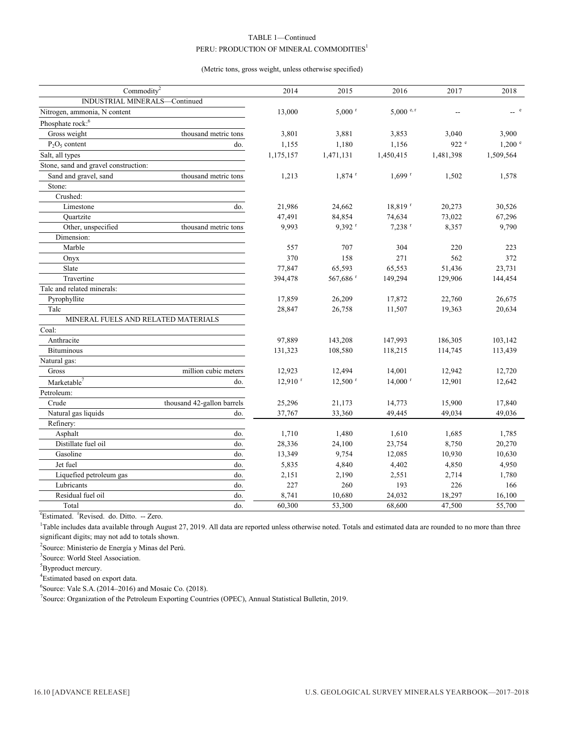# TABLE 1—Continued  ${\rm PERU: PRODUCTION}$  OF MINERAL COMMODITIES  $^1$

#### (Metric tons, gross weight, unless otherwise specified)

| Commodity <sup>2</sup>               |                            | 2014                  | 2015                  | 2016                  | 2017      | 2018               |
|--------------------------------------|----------------------------|-----------------------|-----------------------|-----------------------|-----------|--------------------|
| INDUSTRIAL MINERALS-Continued        |                            |                       |                       |                       |           |                    |
| Nitrogen, ammonia, N content         |                            | 13,000                | $5.000~$ <sup>r</sup> | 5,000 $e, r$          |           | $-$ e              |
| Phosphate rock: <sup>6</sup>         |                            |                       |                       |                       |           |                    |
| Gross weight                         | thousand metric tons       | 3,801                 | 3,881                 | 3,853                 | 3,040     | 3,900              |
| $P_2O_5$ content                     | do.                        | 1,155                 | 1,180                 | 1,156                 | 922 e     | $1,200$ $^{\circ}$ |
| Salt, all types                      |                            | 1,175,157             | 1,471,131             | 1,450,415             | 1,481,398 | 1,509,564          |
| Stone, sand and gravel construction: |                            |                       |                       |                       |           |                    |
| Sand and gravel, sand                | thousand metric tons       | 1,213                 | $1,874$ <sup>r</sup>  | $1.699$ <sup>r</sup>  | 1,502     | 1,578              |
| Stone:                               |                            |                       |                       |                       |           |                    |
| Crushed:                             |                            |                       |                       |                       |           |                    |
| Limestone                            | do.                        | 21,986                | 24,662                | 18,819 <sup>r</sup>   | 20,273    | 30,526             |
| Quartzite                            |                            | 47,491                | 84,854                | 74,634                | 73,022    | 67,296             |
| Other, unspecified                   | thousand metric tons       | 9,993                 | $9.392$ <sup>r</sup>  | $7,238$ <sup>r</sup>  | 8,357     | 9,790              |
| Dimension:                           |                            |                       |                       |                       |           |                    |
| Marble                               |                            | 557                   | 707                   | 304                   | 220       | 223                |
| Onyx                                 |                            | 370                   | 158                   | 271                   | 562       | 372                |
| Slate                                |                            | 77,847                | 65,593                | 65,553                | 51,436    | 23,731             |
| Travertine                           |                            | 394,478               | 567,686 <sup>r</sup>  | 149,294               | 129,906   | 144,454            |
| Talc and related minerals:           |                            |                       |                       |                       |           |                    |
| Pyrophyllite                         |                            | 17,859                | 26,209                | 17,872                | 22,760    | 26,675             |
| Talc                                 |                            | 28,847                | 26,758                | 11,507                | 19,363    | 20,634             |
| MINERAL FUELS AND RELATED MATERIALS  |                            |                       |                       |                       |           |                    |
| Coal:                                |                            |                       |                       |                       |           |                    |
| Anthracite                           |                            | 97,889                | 143,208               | 147,993               | 186,305   | 103,142            |
| <b>Bituminous</b>                    |                            | 131,323               | 108,580               | 118,215               | 114,745   | 113,439            |
| Natural gas:                         |                            |                       |                       |                       |           |                    |
| Gross                                | million cubic meters       | 12,923                | 12,494                | 14,001                | 12,942    | 12,720             |
| Marketable <sup>7</sup>              | do.                        | $12,910$ <sup>r</sup> | $12,500$ <sup>r</sup> | $14,000$ <sup>r</sup> | 12,901    | 12,642             |
| Petroleum:                           |                            |                       |                       |                       |           |                    |
| Crude                                | thousand 42-gallon barrels | 25,296                | 21,173                | 14,773                | 15,900    | 17,840             |
| Natural gas liquids                  | do.                        | 37,767                | 33,360                | 49,445                | 49,034    | 49,036             |
| Refinery:                            |                            |                       |                       |                       |           |                    |
| Asphalt                              | do.                        | 1,710                 | 1,480                 | 1,610                 | 1,685     | 1,785              |
| Distillate fuel oil                  | do.                        | 28,336                | 24,100                | 23,754                | 8,750     | 20,270             |
| Gasoline                             | do.                        | 13,349                | 9,754                 | 12,085                | 10,930    | 10,630             |
| Jet fuel                             | do.                        | 5,835                 | 4,840                 | 4,402                 | 4,850     | 4,950              |
| Liquefied petroleum gas              | do.                        | 2,151                 | 2,190                 | 2,551                 | 2,714     | 1,780              |
| Lubricants                           | do.                        | 227                   | 260                   | 193                   | 226       | 166                |
| Residual fuel oil                    | do.                        | 8,741                 | 10,680                | 24,032                | 18,297    | 16,100             |
| Total                                | do.                        | 60,300                | 53,300                | 68,600                | 47,500    | 55,700             |

<sup>e</sup>Estimated. <sup>r</sup>Revised. do. Ditto. -- Zero.

<sup>1</sup>Table includes data available through August 27, 2019. All data are reported unless otherwise noted. Totals and estimated data are rounded to no more than three significant digits; may not add to totals shown.

<sup>2</sup>Source: Ministerio de Energía y Minas del Perú.

<sup>3</sup>Source: World Steel Association.

5 Byproduct mercury.

<sup>4</sup>Estimated based on export data.

 $6$ Source: Vale S.A. (2014–2016) and Mosaic Co. (2018).

<sup>7</sup>Source: Organization of the Petroleum Exporting Countries (OPEC), Annual Statistical Bulletin, 2019.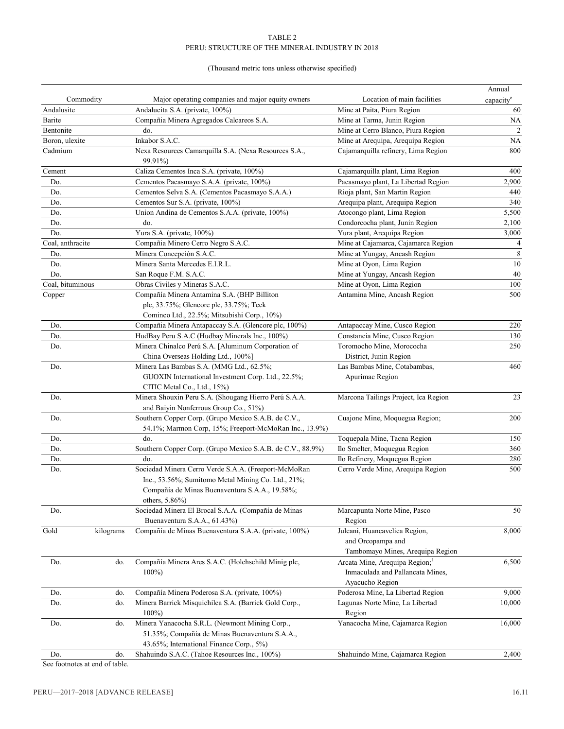#### TABLE 2 PERU: STRUCTURE OF THE MINERAL INDUSTRY IN 2018

# (Thousand metric tons unless otherwise specified)

|                   |                                                                                                               |                                                                                        | Annual                |
|-------------------|---------------------------------------------------------------------------------------------------------------|----------------------------------------------------------------------------------------|-----------------------|
| Commodity         | Major operating companies and major equity owners                                                             | Location of main facilities                                                            | capacity <sup>e</sup> |
| Andalusite        | Andalucita S.A. (private, 100%)                                                                               | Mine at Paita, Piura Region                                                            | 60                    |
| Barite            | Compañia Minera Agregados Calcareos S.A.                                                                      | Mine at Tarma, Junin Region                                                            | <b>NA</b>             |
| Bentonite         | do.                                                                                                           | Mine at Cerro Blanco, Piura Region                                                     | $\sqrt{2}$            |
| Boron, ulexite    | Inkabor S.A.C.                                                                                                | Mine at Arequipa, Arequipa Region                                                      | <b>NA</b>             |
| Cadmium           | Nexa Resources Camarquilla S.A. (Nexa Resources S.A.,<br>99.91%)                                              | Cajamarquilla refinery, Lima Region                                                    | 800                   |
| Cement            | Caliza Cementos Inca S.A. (private, 100%)                                                                     | Cajamarquilla plant, Lima Region                                                       | 400                   |
| Do.               | Cementos Pacasmayo S.A.A. (private, 100%)                                                                     | Pacasmayo plant, La Libertad Region                                                    | 2,900                 |
| Do.               | Cementos Selva S.A. (Cementos Pacasmayo S.A.A.)                                                               | Rioja plant, San Martin Region                                                         | 440                   |
| Do.               | Cementos Sur S.A. (private, 100%)                                                                             | Arequipa plant, Arequipa Region                                                        | 340                   |
| Do.               | Union Andina de Cementos S.A.A. (private, 100%)                                                               | Atocongo plant, Lima Region                                                            | 5,500                 |
| Do.               | do.                                                                                                           | Condorcocha plant, Junin Region                                                        | 2,100                 |
| Do.               | Yura S.A. (private, 100%)                                                                                     | Yura plant, Arequipa Region                                                            | 3,000                 |
| Coal, anthracite  | Compañia Minero Cerro Negro S.A.C.                                                                            | Mine at Cajamarca, Cajamarca Region                                                    | $\overline{4}$        |
| Do.               | Minera Concepción S.A.C.                                                                                      | Mine at Yungay, Ancash Region                                                          | $\,$ 8 $\,$           |
| Do.               | Minera Santa Mercedes E.I.R.L.                                                                                | Mine at Oyon, Lima Region                                                              | 10                    |
| Do.               | San Roque F.M. S.A.C.                                                                                         | Mine at Yungay, Ancash Region                                                          | 40                    |
| Coal, bituminous  | Obras Civiles y Mineras S.A.C.                                                                                | Mine at Oyon, Lima Region                                                              | 100                   |
| Copper            | Compañía Minera Antamina S.A. (BHP Billiton                                                                   | Antamina Mine, Ancash Region                                                           | 500                   |
|                   | plc, 33.75%; Glencore plc, 33.75%; Teck<br>Cominco Ltd., 22.5%; Mitsubishi Corp., 10%)                        |                                                                                        |                       |
| Do.               | Compañia Minera Antapaccay S.A. (Glencore plc, 100%)                                                          | Antapaccay Mine, Cusco Region                                                          | 220                   |
| Do.               | HudBay Peru S.A.C (Hudbay Minerals Inc., 100%)                                                                | Constancia Mine, Cusco Region                                                          | 130                   |
| Do.               | Minera Chinalco Perú S.A. [Aluminum Corporation of                                                            | Toromocho Mine, Morococha                                                              | 250                   |
|                   | China Overseas Holding Ltd., 100%]                                                                            | District, Junin Region                                                                 |                       |
| Do.               | Minera Las Bambas S.A. (MMG Ltd., 62.5%;                                                                      | Las Bambas Mine, Cotabambas,                                                           | 460                   |
|                   | GUOXIN International Investment Corp. Ltd., 22.5%;<br>CITIC Metal Co., Ltd., 15%)                             | Apurimac Region                                                                        |                       |
| Do.               | Minera Shouxin Peru S.A. (Shougang Hierro Perú S.A.A.<br>and Baiyin Nonferrous Group Co., 51%)                | Marcona Tailings Project, Ica Region                                                   | 23                    |
| Do.               | Southern Copper Corp. (Grupo Mexico S.A.B. de C.V.,<br>54.1%; Marmon Corp, 15%; Freeport-McMoRan Inc., 13.9%) | Cuajone Mine, Moquegua Region;                                                         | 200                   |
| Do.               | do.                                                                                                           | Toquepala Mine, Tacna Region                                                           | 150                   |
| Do.               | Southern Copper Corp. (Grupo Mexico S.A.B. de C.V., 88.9%)                                                    | Ilo Smelter, Moquegua Region                                                           | 360                   |
| Do.               | do.                                                                                                           | Ilo Refinery, Moquegua Region                                                          | 280                   |
| Do.               | Sociedad Minera Cerro Verde S.A.A. (Freeport-McMoRan                                                          | Cerro Verde Mine, Arequipa Region                                                      | 500                   |
|                   | Inc., 53.56%; Sumitomo Metal Mining Co. Ltd., 21%;                                                            |                                                                                        |                       |
|                   | Compañía de Minas Buenaventura S.A.A., 19.58%;<br>others, 5.86%)                                              |                                                                                        |                       |
| Do.               | Sociedad Minera El Brocal S.A.A. (Compañía de Minas<br>Buenaventura S.A.A., 61.43%)                           | Marcapunta Norte Mine, Pasco<br>Region                                                 | 50                    |
| Gold<br>kilograms | Compañía de Minas Buenaventura S.A.A. (private, 100%)                                                         | Julcani, Huancavelica Region,<br>and Orcopampa and<br>Tambomayo Mines, Arequipa Region | 8,000                 |
| do.<br>Do.        | Compañía Minera Ares S.A.C. (Holchschild Minig plc,                                                           | Arcata Mine, Arequipa Region; <sup>1</sup>                                             | 6,500                 |
|                   | $100\%$                                                                                                       | Inmaculada and Pallancata Mines,<br>Ayacucho Region                                    |                       |
| Do.<br>do.        | Compañía Minera Poderosa S.A. (private, 100%)                                                                 | Poderosa Mine, La Libertad Region                                                      | 9,000                 |
| Do.<br>do.        | Minera Barrick Misquichilca S.A. (Barrick Gold Corp.,<br>$100\%$                                              | Lagunas Norte Mine, La Libertad<br>Region                                              | 10,000                |
| Do.<br>do.        | Minera Yanacocha S.R.L. (Newmont Mining Corp.,<br>51.35%; Compañía de Minas Buenaventura S.A.A.,              | Yanacocha Mine, Cajamarca Region                                                       | 16,000                |
|                   | 43.65%; International Finance Corp., 5%)                                                                      |                                                                                        |                       |
| Do.<br>do.        | Shahuindo S.A.C. (Tahoe Resources Inc., 100%)                                                                 | Shahuindo Mine, Cajamarca Region                                                       | 2,400                 |

See footnotes at end of table.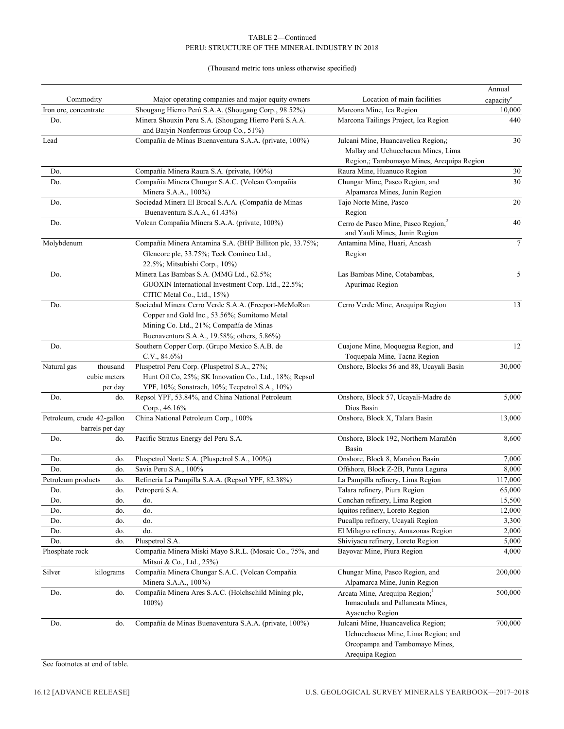#### TABLE 2—Continued PERU: STRUCTURE OF THE MINERAL INDUSTRY IN 2018

# (Thousand metric tons unless otherwise specified)

|                            |                         |                                                                                                                                                                                                |                                                                                                                               | Annual                |  |
|----------------------------|-------------------------|------------------------------------------------------------------------------------------------------------------------------------------------------------------------------------------------|-------------------------------------------------------------------------------------------------------------------------------|-----------------------|--|
| Commodity                  |                         | Major operating companies and major equity owners                                                                                                                                              | Location of main facilities                                                                                                   | capacity <sup>e</sup> |  |
| Iron ore, concentrate      |                         | Shougang Hierro Perú S.A.A. (Shougang Corp., 98.52%)                                                                                                                                           | Marcona Mine, Ica Region                                                                                                      | 10,000                |  |
| Do.                        |                         | Minera Shouxin Peru S.A. (Shougang Hierro Perú S.A.A.<br>and Baiyin Nonferrous Group Co., 51%)                                                                                                 | Marcona Tailings Project, Ica Region                                                                                          | 440                   |  |
| Lead                       |                         | Compañía de Minas Buenaventura S.A.A. (private, 100%)                                                                                                                                          | Julcani Mine, Huancavelica Region,;<br>Mallay and Uchucchacua Mines, Lima<br>Region,; Tambomayo Mines, Arequipa Region        | 30                    |  |
| Do.                        |                         | Compañía Minera Raura S.A. (private, 100%)                                                                                                                                                     | Raura Mine, Huanuco Region                                                                                                    | 30                    |  |
| Do.                        |                         | Compañía Minera Chungar S.A.C. (Volcan Compañía                                                                                                                                                | Chungar Mine, Pasco Region, and                                                                                               | 30                    |  |
|                            |                         | Minera S.A.A., 100%)                                                                                                                                                                           | Alpamarca Mines, Junin Region                                                                                                 |                       |  |
| Do.                        |                         | Sociedad Minera El Brocal S.A.A. (Compañía de Minas                                                                                                                                            | Tajo Norte Mine, Pasco                                                                                                        | 20                    |  |
|                            |                         | Buenaventura S.A.A., 61.43%)                                                                                                                                                                   | Region                                                                                                                        |                       |  |
| Do.                        |                         | Volcan Compañía Minera S.A.A. (private, 100%)                                                                                                                                                  | Cerro de Pasco Mine, Pasco Region, <sup>2</sup><br>and Yauli Mines, Junin Region                                              | 40                    |  |
| Molybdenum                 |                         | Compañía Minera Antamina S.A. (BHP Billiton plc, 33.75%;<br>Glencore plc, 33.75%; Teck Cominco Ltd.,<br>22.5%; Mitsubishi Corp., 10%)                                                          | Antamina Mine, Huari, Ancash<br>Region                                                                                        | $\boldsymbol{7}$      |  |
| Do.                        |                         | Minera Las Bambas S.A. (MMG Ltd., 62.5%;<br>GUOXIN International Investment Corp. Ltd., 22.5%;<br>CITIC Metal Co., Ltd., 15%)                                                                  | Las Bambas Mine, Cotabambas,<br>Apurimac Region                                                                               | 5                     |  |
| Do.                        |                         | Sociedad Minera Cerro Verde S.A.A. (Freeport-McMoRan<br>Copper and Gold Inc., 53.56%; Sumitomo Metal<br>Mining Co. Ltd., 21%; Compañía de Minas<br>Buenaventura S.A.A., 19.58%; others, 5.86%) | Cerro Verde Mine, Arequipa Region                                                                                             | 13                    |  |
| Do.                        |                         | Southern Copper Corp. (Grupo Mexico S.A.B. de<br>$C.V., 84.6\%)$                                                                                                                               | Cuajone Mine, Moquegua Region, and<br>Toquepala Mine, Tacna Region                                                            | 12                    |  |
| Natural gas                | thousand                | Pluspetrol Peru Corp. (Pluspetrol S.A., 27%;                                                                                                                                                   | Onshore, Blocks 56 and 88, Ucayali Basin                                                                                      | 30,000                |  |
|                            | cubic meters<br>per day | Hunt Oil Co, 25%; SK Innovation Co., Ltd., 18%; Repsol<br>YPF, 10%; Sonatrach, 10%; Tecpetrol S.A., 10%)                                                                                       |                                                                                                                               |                       |  |
| Do.                        | do.                     | Repsol YPF, 53.84%, and China National Petroleum                                                                                                                                               | Onshore, Block 57, Ucayali-Madre de                                                                                           | 5,000                 |  |
|                            |                         | Corp., 46.16%                                                                                                                                                                                  | Dios Basin                                                                                                                    |                       |  |
| Petroleum, crude 42-gallon | barrels per day         | China National Petroleum Corp., 100%                                                                                                                                                           | Onshore, Block X, Talara Basin                                                                                                | 13,000                |  |
| Do.                        | do.                     | Pacific Stratus Energy del Peru S.A.                                                                                                                                                           | Onshore, Block 192, Northern Marañón<br>Basin                                                                                 | 8,600                 |  |
| Do.                        | do.                     | Pluspetrol Norte S.A. (Pluspetrol S.A., 100%)                                                                                                                                                  | Onshore, Block 8, Marañon Basin                                                                                               | 7,000                 |  |
| Do.                        | do.                     | Savia Peru S.A., 100%                                                                                                                                                                          | Offshore, Block Z-2B, Punta Laguna                                                                                            | 8,000                 |  |
| Petroleum products         | do.                     | Refinería La Pampilla S.A.A. (Repsol YPF, 82.38%)                                                                                                                                              | La Pampilla refinery, Lima Region                                                                                             | 117,000               |  |
| Do.                        | do.                     | Petroperú S.A.                                                                                                                                                                                 | Talara refinery, Piura Region                                                                                                 | 65,000                |  |
| Do.                        | do.                     | do.                                                                                                                                                                                            | Conchan refinery, Lima Region                                                                                                 | 15,500                |  |
| Do.                        | do.                     | do.                                                                                                                                                                                            | Iquitos refinery, Loreto Region                                                                                               | 12,000                |  |
| Do.                        | do.                     | do.                                                                                                                                                                                            | Pucallpa refinery, Ucayali Region                                                                                             | 3,300                 |  |
| Do.                        | do.                     | do.                                                                                                                                                                                            | El Milagro refinery, Amazonas Region                                                                                          | 2,000                 |  |
| Do.                        | do.                     | Pluspetrol S.A.                                                                                                                                                                                | Shiviyacu refinery, Loreto Region                                                                                             | 5,000                 |  |
| Phosphate rock             |                         | Compañia Minera Miski Mayo S.R.L. (Mosaic Co., 75%, and<br>Mitsui & Co., Ltd., 25%)                                                                                                            | Bayovar Mine, Piura Region                                                                                                    | 4,000                 |  |
| Silver                     | kilograms               | Compañía Minera Chungar S.A.C. (Volcan Compañía<br>Minera S.A.A., 100%)                                                                                                                        | Chungar Mine, Pasco Region, and<br>Alpamarca Mine, Junin Region                                                               | 200,000               |  |
| Do.                        | do.                     | Compañía Minera Ares S.A.C. (Holchschild Mining plc,<br>$100\%$                                                                                                                                | Arcata Mine, Arequipa Region; <sup>1</sup><br>Inmaculada and Pallancata Mines,<br>Ayacucho Region                             | 500,000               |  |
| Do.                        | do.                     | Compañía de Minas Buenaventura S.A.A. (private, 100%)                                                                                                                                          | Julcani Mine, Huancavelica Region;<br>Uchucchacua Mine, Lima Region; and<br>Orcopampa and Tambomayo Mines,<br>Arequipa Region | 700,000               |  |

See footnotes at end of table.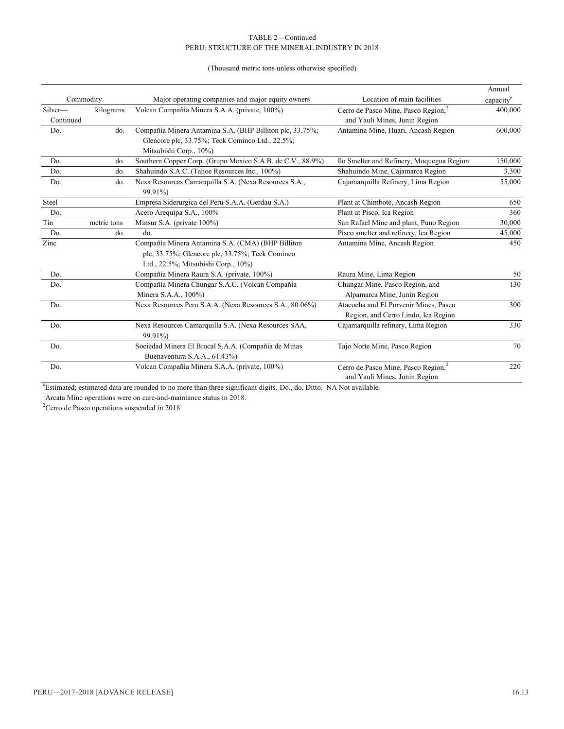#### TABLE 2—Continued PERU: STRUCTURE OF THE MINERAL INDUSTRY IN 2018

# (Thousand metric tons unless otherwise specified)

|           |             |                                                            |                                                 | Annual                |
|-----------|-------------|------------------------------------------------------------|-------------------------------------------------|-----------------------|
|           | Commodity   | Major operating companies and major equity owners          | Location of main facilities                     | capacity <sup>e</sup> |
| Silver-   | kilograms   | Volcan Compañía Minera S.A.A. (private, 100%)              | Cerro de Pasco Mine, Pasco Region, <sup>2</sup> | 400,000               |
| Continued |             |                                                            | and Yauli Mines, Junin Region                   |                       |
| Do.       | do.         | Compañía Minera Antamina S.A. (BHP Billiton plc, 33.75%;   | Antamina Mine, Huari, Ancash Region             | 600,000               |
|           |             | Glencore plc, 33.75%; Teck Cominco Ltd., 22.5%;            |                                                 |                       |
|           |             | Mitsubishi Corp., 10%)                                     |                                                 |                       |
| Do.       | do.         | Southern Copper Corp. (Grupo Mexico S.A.B. de C.V., 88.9%) | Ilo Smelter and Refinery, Moquegua Region       | 150,000               |
| Do.       | do.         | Shahuindo S.A.C. (Tahoe Resources Inc., 100%)              | Shahuindo Mine, Cajamarca Region                | 3,300                 |
| Do.       | do.         | Nexa Resources Camarquilla S.A. (Nexa Resources S.A.,      | Cajamarquilla Refinery, Lima Region             | 55,000                |
|           |             | 99.91%)                                                    |                                                 |                       |
| Steel     |             | Empresa Siderurgica del Peru S.A.A. (Gerdau S.A.)          | Plant at Chimbote, Ancash Region                | 650                   |
| Do.       |             | Acero Arequipa S.A., 100%                                  | Plant at Pisco, Ica Region                      | 360                   |
| Tin       | metric tons | Minsur S.A. (private 100%)                                 | San Rafael Mine and plant, Puno Region          | 30,000                |
| Do.       | do.         | do.                                                        | Pisco smelter and refinery, Ica Region          | 45,000                |
| Zinc      |             | Compañía Minera Antamina S.A. (CMA) (BHP Billiton          | Antamina Mine, Ancash Region                    | 450                   |
|           |             | plc, 33.75%; Glencore plc, 33.75%; Teck Cominco            |                                                 |                       |
|           |             | Ltd., 22.5%; Mitsubishi Corp., 10%)                        |                                                 |                       |
| Do.       |             | Compañía Minera Raura S.A. (private, 100%)                 | Raura Mine, Lima Region                         | 50                    |
| Do.       |             | Compañía Minera Chungar S.A.C. (Volcan Compañía            | Chungar Mine, Pasco Region, and                 | 130                   |
|           |             | Minera S.A.A., 100%)                                       | Alpamarca Mine, Junin Region                    |                       |
| Do.       |             | Nexa Resources Peru S.A.A. (Nexa Resources S.A., 80.06%)   | Atacocha and El Porvenir Mines, Pasco           | 300                   |
|           |             |                                                            | Region, and Cerro Lindo, Ica Region             |                       |
| Do.       |             | Nexa Resources Camarquilla S.A. (Nexa Resources SAA,       | Cajamarquilla refinery, Lima Region             | 330                   |
|           |             | 99.91%)                                                    |                                                 |                       |
| Do.       |             | Sociedad Minera El Brocal S.A.A. (Compañía de Minas        | Tajo Norte Mine, Pasco Region                   | 70                    |
|           |             | Buenaventura S.A.A., 61.43%)                               |                                                 |                       |
| Do.       |             | Volcan Compañía Minera S.A.A. (private, 100%)              | Cerro de Pasco Mine, Pasco Region, <sup>2</sup> | 220                   |
|           |             |                                                            | and Yauli Mines, Junin Region                   |                       |

e Estimated; estimated data are rounded to no more than three significant digits. Do., do. Ditto. NA Not available.

<sup>1</sup> Arcata Mine operations were on care-and-maintance status in 2018.

 $2^2$ Cerro de Pasco operations suspended in 2018.